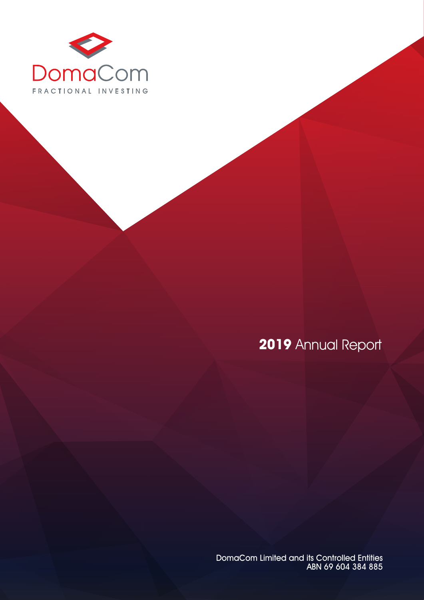

# **2019** Annual Report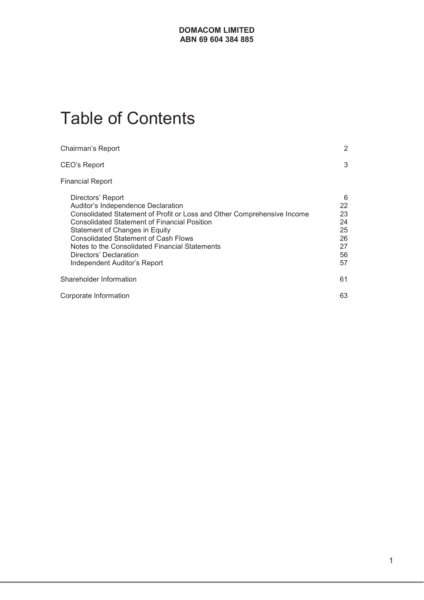# Table of Contents

| 2                                                                                                                            |
|------------------------------------------------------------------------------------------------------------------------------|
| 3                                                                                                                            |
|                                                                                                                              |
| 6<br>22<br>23<br>Consolidated Statement of Profit or Loss and Other Comprehensive Income<br>24<br>25<br>26<br>27<br>56<br>57 |
| 61                                                                                                                           |
| 63                                                                                                                           |
|                                                                                                                              |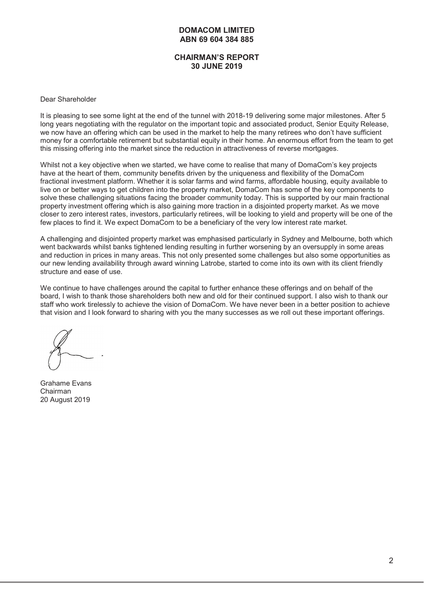#### **CHAIRMAN'S REPORT 30 JUNE 2019**

#### Dear Shareholder

It is pleasing to see some light at the end of the tunnel with 2018-19 delivering some major milestones. After 5 long years negotiating with the regulator on the important topic and associated product, Senior Equity Release, we now have an offering which can be used in the market to help the many retirees who don't have sufficient money for a comfortable retirement but substantial equity in their home. An enormous effort from the team to get this missing offering into the market since the reduction in attractiveness of reverse mortgages.

Whilst not a key objective when we started, we have come to realise that many of DomaCom's key projects have at the heart of them, community benefits driven by the uniqueness and flexibility of the DomaCom fractional investment platform. Whether it is solar farms and wind farms, affordable housing, equity available to live on or better ways to get children into the property market, DomaCom has some of the key components to solve these challenging situations facing the broader community today. This is supported by our main fractional property investment offering which is also gaining more traction in a disjointed property market. As we move closer to zero interest rates, investors, particularly retirees, will be looking to yield and property will be one of the few places to find it. We expect DomaCom to be a beneficiary of the very low interest rate market.

A challenging and disjointed property market was emphasised particularly in Sydney and Melbourne, both which went backwards whilst banks tightened lending resulting in further worsening by an oversupply in some areas and reduction in prices in many areas. This not only presented some challenges but also some opportunities as our new lending availability through award winning Latrobe, started to come into its own with its client friendly structure and ease of use.

We continue to have challenges around the capital to further enhance these offerings and on behalf of the board, I wish to thank those shareholders both new and old for their continued support. I also wish to thank our staff who work tirelessly to achieve the vision of DomaCom. We have never been in a better position to achieve that vision and I look forward to sharing with you the many successes as we roll out these important offerings.

Grahame Evans Chairman 20 August 2019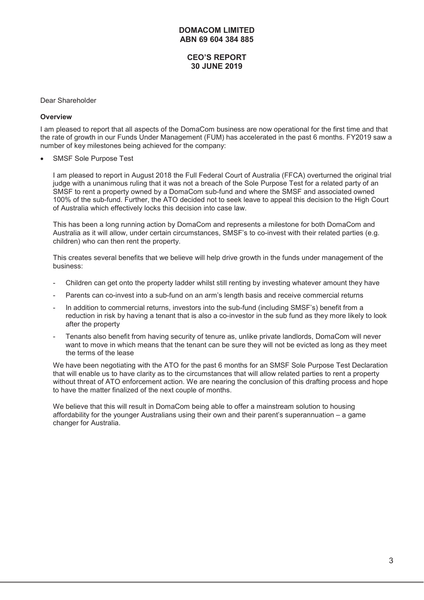# **CEO'S REPORT 30 JUNE 2019**

#### Dear Shareholder

#### **Overview**

I am pleased to report that all aspects of the DomaCom business are now operational for the first time and that the rate of growth in our Funds Under Management (FUM) has accelerated in the past 6 months. FY2019 saw a number of key milestones being achieved for the company:

SMSF Sole Purpose Test

I am pleased to report in August 2018 the Full Federal Court of Australia (FFCA) overturned the original trial judge with a unanimous ruling that it was not a breach of the Sole Purpose Test for a related party of an SMSF to rent a property owned by a DomaCom sub-fund and where the SMSF and associated owned 100% of the sub-fund. Further, the ATO decided not to seek leave to appeal this decision to the High Court of Australia which effectively locks this decision into case law.

This has been a long running action by DomaCom and represents a milestone for both DomaCom and Australia as it will allow, under certain circumstances, SMSF's to co-invest with their related parties (e.g. children) who can then rent the property.

This creates several benefits that we believe will help drive growth in the funds under management of the business:

- Children can get onto the property ladder whilst still renting by investing whatever amount they have
- Parents can co-invest into a sub-fund on an arm's length basis and receive commercial returns
- In addition to commercial returns, investors into the sub-fund (including SMSF's) benefit from a reduction in risk by having a tenant that is also a co-investor in the sub fund as they more likely to look after the property
- Tenants also benefit from having security of tenure as, unlike private landlords, DomaCom will never want to move in which means that the tenant can be sure they will not be evicted as long as they meet the terms of the lease

We have been negotiating with the ATO for the past 6 months for an SMSF Sole Purpose Test Declaration that will enable us to have clarity as to the circumstances that will allow related parties to rent a property without threat of ATO enforcement action. We are nearing the conclusion of this drafting process and hope to have the matter finalized of the next couple of months.

We believe that this will result in DomaCom being able to offer a mainstream solution to housing affordability for the younger Australians using their own and their parent's superannuation – a game changer for Australia.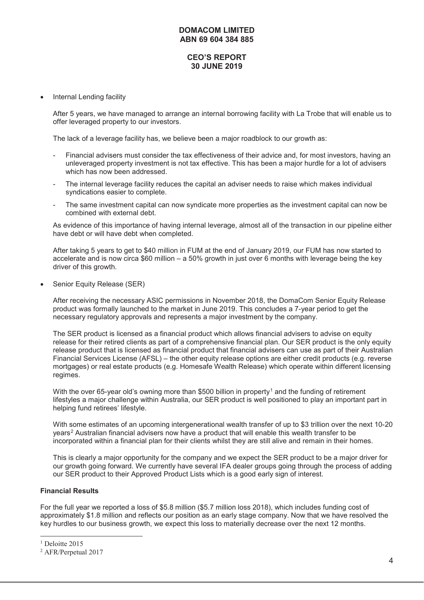# **CEO'S REPORT 30 JUNE 2019**

Internal Lending facility

After 5 years, we have managed to arrange an internal borrowing facility with La Trobe that will enable us to offer leveraged property to our investors.

The lack of a leverage facility has, we believe been a major roadblock to our growth as:

- Financial advisers must consider the tax effectiveness of their advice and, for most investors, having an unleveraged property investment is not tax effective. This has been a major hurdle for a lot of advisers which has now been addressed.
- The internal leverage facility reduces the capital an adviser needs to raise which makes individual syndications easier to complete.
- The same investment capital can now syndicate more properties as the investment capital can now be combined with external debt.

As evidence of this importance of having internal leverage, almost all of the transaction in our pipeline either have debt or will have debt when completed.

After taking 5 years to get to \$40 million in FUM at the end of January 2019, our FUM has now started to accelerate and is now circa \$60 million – a 50% growth in just over 6 months with leverage being the key driver of this growth.

Senior Equity Release (SER)

After receiving the necessary ASIC permissions in November 2018, the DomaCom Senior Equity Release product was formally launched to the market in June 2019. This concludes a 7-year period to get the necessary regulatory approvals and represents a major investment by the company.

The SER product is licensed as a financial product which allows financial advisers to advise on equity release for their retired clients as part of a comprehensive financial plan. Our SER product is the only equity release product that is licensed as financial product that financial advisers can use as part of their Australian Financial Services License (AFSL) – the other equity release options are either credit products (e.g. reverse mortgages) or real estate products (e.g. Homesafe Wealth Release) which operate within different licensing regimes.

With the over 65-year old's owning more than \$500 billion in property<sup>1</sup> and the funding of retirement lifestyles a major challenge within Australia, our SER product is well positioned to play an important part in helping fund retirees' lifestyle.

With some estimates of an upcoming intergenerational wealth transfer of up to \$3 trillion over the next 10-20 years2 Australian financial advisers now have a product that will enable this wealth transfer to be incorporated within a financial plan for their clients whilst they are still alive and remain in their homes.

This is clearly a major opportunity for the company and we expect the SER product to be a major driver for our growth going forward. We currently have several IFA dealer groups going through the process of adding our SER product to their Approved Product Lists which is a good early sign of interest.

#### **Financial Results**

For the full year we reported a loss of \$5.8 million (\$5.7 million loss 2018), which includes funding cost of approximately \$1.8 million and reflects our position as an early stage company. Now that we have resolved the key hurdles to our business growth, we expect this loss to materially decrease over the next 12 months.

<sup>&</sup>lt;sup>1</sup> Deloitte 2015

<sup>2</sup> AFR/Perpetual 2017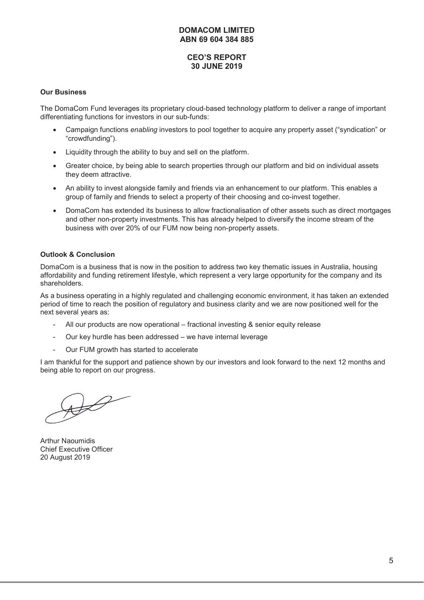# **CEO'S REPORT 30 JUNE 2019**

#### **Our Business**

The DomaCom Fund leverages its proprietary cloud-based technology platform to deliver a range of important differentiating functions for investors in our sub-funds:

- x Campaign functions *enabling* investors to pool together to acquire any property asset ("syndication" or "crowdfunding").
- Liquidity through the ability to buy and sell on the platform.
- Greater choice, by being able to search properties through our platform and bid on individual assets they deem attractive.
- An ability to invest alongside family and friends via an enhancement to our platform. This enables a group of family and friends to select a property of their choosing and co-invest together.
- DomaCom has extended its business to allow fractionalisation of other assets such as direct mortgages and other non-property investments. This has already helped to diversify the income stream of the business with over 20% of our FUM now being non-property assets.

#### **Outlook & Conclusion**

DomaCom is a business that is now in the position to address two key thematic issues in Australia, housing affordability and funding retirement lifestyle, which represent a very large opportunity for the company and its shareholders.

As a business operating in a highly regulated and challenging economic environment, it has taken an extended period of time to reach the position of regulatory and business clarity and we are now positioned well for the next several years as:

- All our products are now operational fractional investing & senior equity release
- Our key hurdle has been addressed we have internal leverage
- Our FUM growth has started to accelerate

I am thankful for the support and patience shown by our investors and look forward to the next 12 months and being able to report on our progress.

 $\mathscr{D}$ 

Arthur Naoumidis Chief Executive Officer 20 August 2019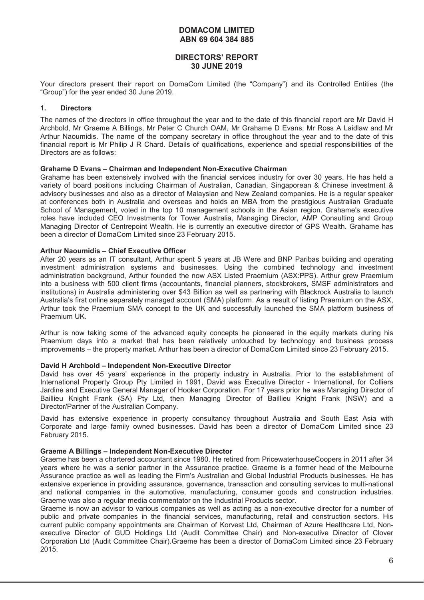# **DIRECTORS' REPORT 30 JUNE 2019**

Your directors present their report on DomaCom Limited (the "Company") and its Controlled Entities (the "Group") for the year ended 30 June 2019.

#### **1. Directors**

The names of the directors in office throughout the year and to the date of this financial report are Mr David H Archbold, Mr Graeme A Billings, Mr Peter C Church OAM, Mr Grahame D Evans, Mr Ross A Laidlaw and Mr Arthur Naoumidis. The name of the company secretary in office throughout the year and to the date of this financial report is Mr Philip J R Chard. Details of qualifications, experience and special responsibilities of the Directors are as follows:

#### **Grahame D Evans – Chairman and Independent Non-Executive Chairman**

Grahame has been extensively involved with the financial services industry for over 30 years. He has held a variety of board positions including Chairman of Australian, Canadian, Singaporean & Chinese investment & advisory businesses and also as a director of Malaysian and New Zealand companies. He is a regular speaker at conferences both in Australia and overseas and holds an MBA from the prestigious Australian Graduate School of Management, voted in the top 10 management schools in the Asian region. Grahame's executive roles have included CEO Investments for Tower Australia, Managing Director, AMP Consulting and Group Managing Director of Centrepoint Wealth. He is currently an executive director of GPS Wealth. Grahame has been a director of DomaCom Limited since 23 February 2015.

#### **Arthur Naoumidis – Chief Executive Officer**

After 20 years as an IT consultant, Arthur spent 5 years at JB Were and BNP Paribas building and operating investment administration systems and businesses. Using the combined technology and investment administration background, Arthur founded the now ASX Listed Praemium (ASX:PPS). Arthur grew Praemium into a business with 500 client firms (accountants, financial planners, stockbrokers, SMSF administrators and institutions) in Australia administering over \$43 Billion as well as partnering with Blackrock Australia to launch Australia's first online separately managed account (SMA) platform. As a result of listing Praemium on the ASX, Arthur took the Praemium SMA concept to the UK and successfully launched the SMA platform business of Praemium UK.

Arthur is now taking some of the advanced equity concepts he pioneered in the equity markets during his Praemium days into a market that has been relatively untouched by technology and business process improvements – the property market. Arthur has been a director of DomaCom Limited since 23 February 2015.

#### **David H Archbold – Independent Non-Executive Director**

David has over 45 years' experience in the property industry in Australia. Prior to the establishment of International Property Group Pty Limited in 1991, David was Executive Director - International, for Colliers Jardine and Executive General Manager of Hooker Corporation. For 17 years prior he was Managing Director of Baillieu Knight Frank (SA) Pty Ltd, then Managing Director of Baillieu Knight Frank (NSW) and a Director/Partner of the Australian Company.

David has extensive experience in property consultancy throughout Australia and South East Asia with Corporate and large family owned businesses. David has been a director of DomaCom Limited since 23 February 2015.

#### **Graeme A Billings – Independent Non-Executive Director**

Graeme has been a chartered accountant since 1980. He retired from PricewaterhouseCoopers in 2011 after 34 years where he was a senior partner in the Assurance practice. Graeme is a former head of the Melbourne Assurance practice as well as leading the Firm's Australian and Global Industrial Products businesses. He has extensive experience in providing assurance, governance, transaction and consulting services to multi-national and national companies in the automotive, manufacturing, consumer goods and construction industries. Graeme was also a regular media commentator on the Industrial Products sector.

Graeme is now an advisor to various companies as well as acting as a non-executive director for a number of public and private companies in the financial services, manufacturing, retail and construction sectors. His current public company appointments are Chairman of Korvest Ltd, Chairman of Azure Healthcare Ltd, Nonexecutive Director of GUD Holdings Ltd (Audit Committee Chair) and Non-executive Director of Clover Corporation Ltd (Audit Committee Chair).Graeme has been a director of DomaCom Limited since 23 February 2015.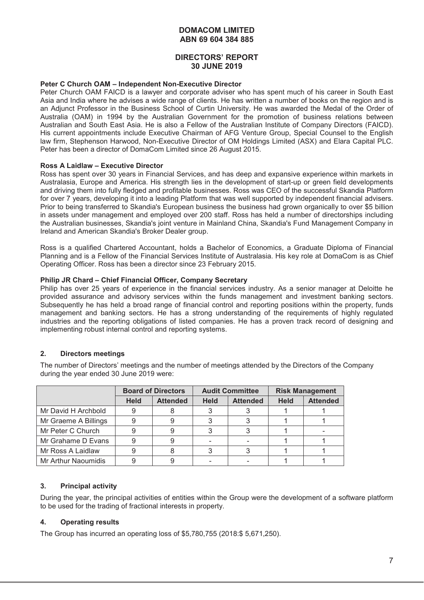#### **DIRECTORS' REPORT 30 JUNE 2019**

#### **Peter C Church OAM – Independent Non-Executive Director**

Peter Church OAM FAICD is a lawyer and corporate adviser who has spent much of his career in South East Asia and India where he advises a wide range of clients. He has written a number of books on the region and is an Adjunct Professor in the Business School of Curtin University. He was awarded the Medal of the Order of Australia (OAM) in 1994 by the Australian Government for the promotion of business relations between Australian and South East Asia. He is also a Fellow of the Australian Institute of Company Directors (FAICD). His current appointments include Executive Chairman of AFG Venture Group, Special Counsel to the English law firm, Stephenson Harwood, Non-Executive Director of OM Holdings Limited (ASX) and Elara Capital PLC. Peter has been a director of DomaCom Limited since 26 August 2015.

#### **Ross A Laidlaw – Executive Director**

Ross has spent over 30 years in Financial Services, and has deep and expansive experience within markets in Australasia, Europe and America. His strength lies in the development of start-up or green field developments and driving them into fully fledged and profitable businesses. Ross was CEO of the successful Skandia Platform for over 7 years, developing it into a leading Platform that was well supported by independent financial advisers. Prior to being transferred to Skandia's European business the business had grown organically to over \$5 billion in assets under management and employed over 200 staff. Ross has held a number of directorships including the Australian businesses, Skandia's joint venture in Mainland China, Skandia's Fund Management Company in Ireland and American Skandia's Broker Dealer group.

Ross is a qualified Chartered Accountant, holds a Bachelor of Economics, a Graduate Diploma of Financial Planning and is a Fellow of the Financial Services Institute of Australasia. His key role at DomaCom is as Chief Operating Officer. Ross has been a director since 23 February 2015.

#### **Philip JR Chard – Chief Financial Officer, Company Secretary**

Philip has over 25 years of experience in the financial services industry. As a senior manager at Deloitte he provided assurance and advisory services within the funds management and investment banking sectors. Subsequently he has held a broad range of financial control and reporting positions within the property, funds management and banking sectors. He has a strong understanding of the requirements of highly regulated industries and the reporting obligations of listed companies. He has a proven track record of designing and implementing robust internal control and reporting systems.

#### **2. Directors meetings**

The number of Directors' meetings and the number of meetings attended by the Directors of the Company during the year ended 30 June 2019 were:

|                      | <b>Board of Directors</b> |                 |             | <b>Audit Committee</b> | <b>Risk Management</b> |                 |
|----------------------|---------------------------|-----------------|-------------|------------------------|------------------------|-----------------|
|                      | <b>Held</b>               | <b>Attended</b> | <b>Held</b> | <b>Attended</b>        | <b>Held</b>            | <b>Attended</b> |
| Mr David H Archbold  |                           |                 |             |                        |                        |                 |
| Mr Graeme A Billings |                           |                 |             |                        |                        |                 |
| Mr Peter C Church    |                           |                 |             |                        |                        |                 |
| Mr Grahame D Evans   |                           |                 |             |                        |                        |                 |
| Mr Ross A Laidlaw    |                           |                 |             |                        |                        |                 |
| Mr Arthur Naoumidis  |                           |                 |             |                        |                        |                 |

#### **3. Principal activity**

During the year, the principal activities of entities within the Group were the development of a software platform to be used for the trading of fractional interests in property.

#### **4. Operating results**

The Group has incurred an operating loss of \$5,780,755 (2018:\$ 5,671,250).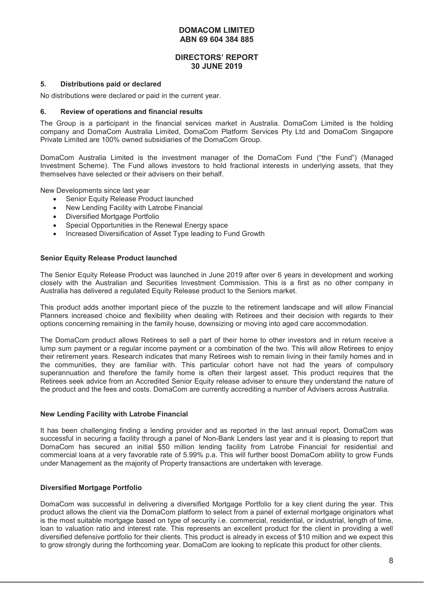#### **DIRECTORS' REPORT 30 JUNE 2019**

#### **5. Distributions paid or declared**

No distributions were declared or paid in the current year.

#### **6. Review of operations and financial results**

The Group is a participant in the financial services market in Australia. DomaCom Limited is the holding company and DomaCom Australia Limited, DomaCom Platform Services Pty Ltd and DomaCom Singapore Private Limited are 100% owned subsidiaries of the DomaCom Group.

DomaCom Australia Limited is the investment manager of the DomaCom Fund ("the Fund") (Managed Investment Scheme). The Fund allows investors to hold fractional interests in underlying assets, that they themselves have selected or their advisers on their behalf.

New Developments since last year

- Senior Equity Release Product launched
- New Lending Facility with Latrobe Financial
- Diversified Mortgage Portfolio
- Special Opportunities in the Renewal Energy space
- Increased Diversification of Asset Type leading to Fund Growth

#### **Senior Equity Release Product launched**

The Senior Equity Release Product was launched in June 2019 after over 6 years in development and working closely with the Australian and Securities Investment Commission. This is a first as no other company in Australia has delivered a regulated Equity Release product to the Seniors market.

This product adds another important piece of the puzzle to the retirement landscape and will allow Financial Planners increased choice and flexibility when dealing with Retirees and their decision with regards to their options concerning remaining in the family house, downsizing or moving into aged care accommodation.

The DomaCom product allows Retirees to sell a part of their home to other investors and in return receive a lump sum payment or a regular income payment or a combination of the two. This will allow Retirees to enjoy their retirement years. Research indicates that many Retirees wish to remain living in their family homes and in the communities, they are familiar with. This particular cohort have not had the years of compulsory superannuation and therefore the family home is often their largest asset. This product requires that the Retirees seek advice from an Accredited Senior Equity release adviser to ensure they understand the nature of the product and the fees and costs. DomaCom are currently accrediting a number of Advisers across Australia.

#### **New Lending Facility with Latrobe Financial**

It has been challenging finding a lending provider and as reported in the last annual report, DomaCom was successful in securing a facility through a panel of Non-Bank Lenders last year and it is pleasing to report that DomaCom has secured an initial \$50 million lending facility from Latrobe Financial for residential and commercial loans at a very favorable rate of 5.99% p.a. This will further boost DomaCom ability to grow Funds under Management as the majority of Property transactions are undertaken with leverage.

#### **Diversified Mortgage Portfolio**

DomaCom was successful in delivering a diversified Mortgage Portfolio for a key client during the year. This product allows the client via the DomaCom platform to select from a panel of external mortgage originators what is the most suitable mortgage based on type of security i.e. commercial, residential, or industrial, length of time, loan to valuation ratio and interest rate. This represents an excellent product for the client in providing a well diversified defensive portfolio for their clients. This product is already in excess of \$10 million and we expect this to grow strongly during the forthcoming year. DomaCom are looking to replicate this product for other clients.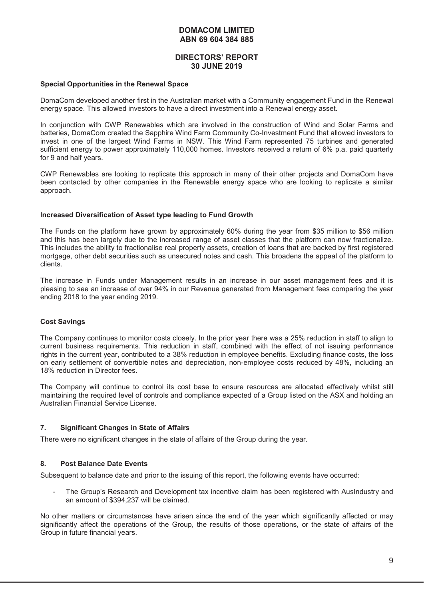#### **DIRECTORS' REPORT 30 JUNE 2019**

#### **Special Opportunities in the Renewal Space**

DomaCom developed another first in the Australian market with a Community engagement Fund in the Renewal energy space. This allowed investors to have a direct investment into a Renewal energy asset.

In conjunction with CWP Renewables which are involved in the construction of Wind and Solar Farms and batteries, DomaCom created the Sapphire Wind Farm Community Co-Investment Fund that allowed investors to invest in one of the largest Wind Farms in NSW. This Wind Farm represented 75 turbines and generated sufficient energy to power approximately 110,000 homes. Investors received a return of 6% p.a. paid quarterly for 9 and half years.

CWP Renewables are looking to replicate this approach in many of their other projects and DomaCom have been contacted by other companies in the Renewable energy space who are looking to replicate a similar approach.

#### **Increased Diversification of Asset type leading to Fund Growth**

The Funds on the platform have grown by approximately 60% during the year from \$35 million to \$56 million and this has been largely due to the increased range of asset classes that the platform can now fractionalize. This includes the ability to fractionalise real property assets, creation of loans that are backed by first registered mortgage, other debt securities such as unsecured notes and cash. This broadens the appeal of the platform to clients.

The increase in Funds under Management results in an increase in our asset management fees and it is pleasing to see an increase of over 94% in our Revenue generated from Management fees comparing the year ending 2018 to the year ending 2019.

#### **Cost Savings**

The Company continues to monitor costs closely. In the prior year there was a 25% reduction in staff to align to current business requirements. This reduction in staff, combined with the effect of not issuing performance rights in the current year, contributed to a 38% reduction in employee benefits. Excluding finance costs, the loss on early settlement of convertible notes and depreciation, non-employee costs reduced by 48%, including an 18% reduction in Director fees.

The Company will continue to control its cost base to ensure resources are allocated effectively whilst still maintaining the required level of controls and compliance expected of a Group listed on the ASX and holding an Australian Financial Service License.

#### **7. Significant Changes in State of Affairs**

There were no significant changes in the state of affairs of the Group during the year.

#### **8. Post Balance Date Events**

Subsequent to balance date and prior to the issuing of this report, the following events have occurred:

The Group's Research and Development tax incentive claim has been registered with AusIndustry and an amount of \$394,237 will be claimed.

No other matters or circumstances have arisen since the end of the year which significantly affected or may significantly affect the operations of the Group, the results of those operations, or the state of affairs of the Group in future financial years.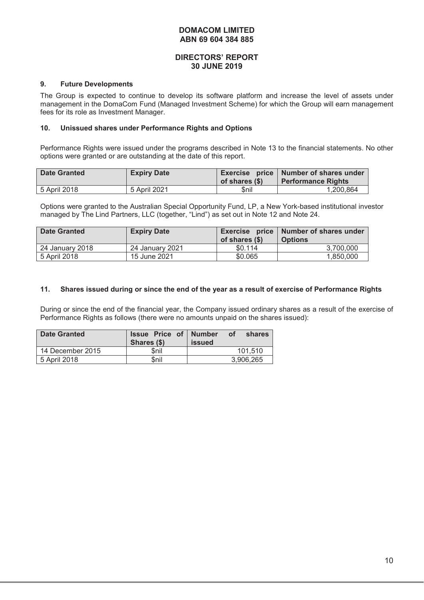#### **DIRECTORS' REPORT 30 JUNE 2019**

#### **9. Future Developments**

The Group is expected to continue to develop its software platform and increase the level of assets under management in the DomaCom Fund (Managed Investment Scheme) for which the Group will earn management fees for its role as Investment Manager.

#### **10. Unissued shares under Performance Rights and Options**

Performance Rights were issued under the programs described in Note 13 to the financial statements. No other options were granted or are outstanding at the date of this report.

| <b>Date Granted</b> | <b>Expiry Date</b> | of shares (\$) | Exercise price   Number of shares under<br><b>Performance Rights</b> |
|---------------------|--------------------|----------------|----------------------------------------------------------------------|
| 5 April 2018        | 5 April 2021       | \$nil          | 1.200.864                                                            |

Options were granted to the Australian Special Opportunity Fund, LP, a New York-based institutional investor managed by The Lind Partners, LLC (together, "Lind") as set out in Note 12 and Note 24.

| <b>Date Granted</b> | <b>Expiry Date</b> | of shares (\$) | Exercise price   Number of shares under<br><b>Options</b> |
|---------------------|--------------------|----------------|-----------------------------------------------------------|
| 24 January 2018     | 24 January 2021    | \$0.114        | 3.700.000                                                 |
| 5 April 2018        | 15 June 2021       | \$0.065        | 1.850.000                                                 |

#### **11. Shares issued during or since the end of the year as a result of exercise of Performance Rights**

During or since the end of the financial year, the Company issued ordinary shares as a result of the exercise of Performance Rights as follows (there were no amounts unpaid on the shares issued):

| <b>Date Granted</b> | <b>Issue Price of Number</b><br>Shares (\$) | of<br>shares<br><b>issued</b> |
|---------------------|---------------------------------------------|-------------------------------|
| 14 December 2015    | \$nil                                       | 101.510                       |
| 5 April 2018        | \$nil                                       | 3.906.265                     |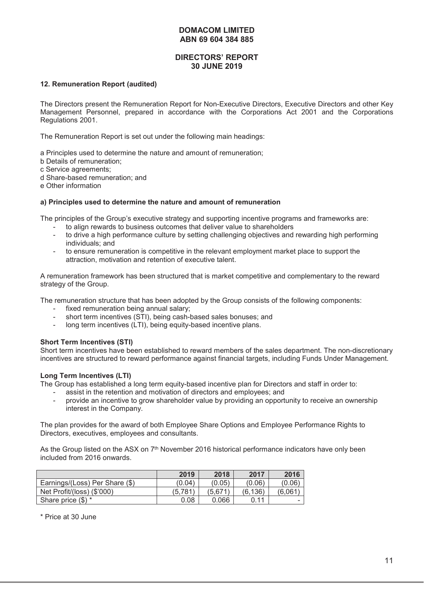# **DIRECTORS' REPORT 30 JUNE 2019**

#### **12. Remuneration Report (audited)**

The Directors present the Remuneration Report for Non-Executive Directors, Executive Directors and other Key Management Personnel, prepared in accordance with the Corporations Act 2001 and the Corporations Regulations 2001.

The Remuneration Report is set out under the following main headings:

a Principles used to determine the nature and amount of remuneration;

- b Details of remuneration;
- c Service agreements;
- d Share-based remuneration; and
- e Other information

#### **a) Principles used to determine the nature and amount of remuneration**

The principles of the Group's executive strategy and supporting incentive programs and frameworks are:

- to align rewards to business outcomes that deliver value to shareholders
- to drive a high performance culture by setting challenging objectives and rewarding high performing individuals; and
- to ensure remuneration is competitive in the relevant employment market place to support the attraction, motivation and retention of executive talent.

A remuneration framework has been structured that is market competitive and complementary to the reward strategy of the Group.

The remuneration structure that has been adopted by the Group consists of the following components:

- fixed remuneration being annual salary;
- short term incentives (STI), being cash-based sales bonuses; and
- long term incentives (LTI), being equity-based incentive plans.

#### **Short Term Incentives (STI)**

Short term incentives have been established to reward members of the sales department. The non-discretionary incentives are structured to reward performance against financial targets, including Funds Under Management.

#### **Long Term Incentives (LTI)**

The Group has established a long term equity-based incentive plan for Directors and staff in order to:

- assist in the retention and motivation of directors and employees; and
- provide an incentive to grow shareholder value by providing an opportunity to receive an ownership interest in the Company.

The plan provides for the award of both Employee Share Options and Employee Performance Rights to Directors, executives, employees and consultants.

As the Group listed on the ASX on 7<sup>th</sup> November 2016 historical performance indicators have only been included from 2016 onwards.

|                                | 2019    | 2018    | 2017    | 2016    |
|--------------------------------|---------|---------|---------|---------|
| Earnings/(Loss) Per Share (\$) | (0.04)  | (0.05)  | (0.06)  | (0.06)  |
| Net Profit/(loss) (\$'000)     | (5,781) | (5.671) | (6.136) | (6.061) |
| Share price $(\$)$ *           | 0.08    | 0.066   | 0.11    | -       |

\* Price at 30 June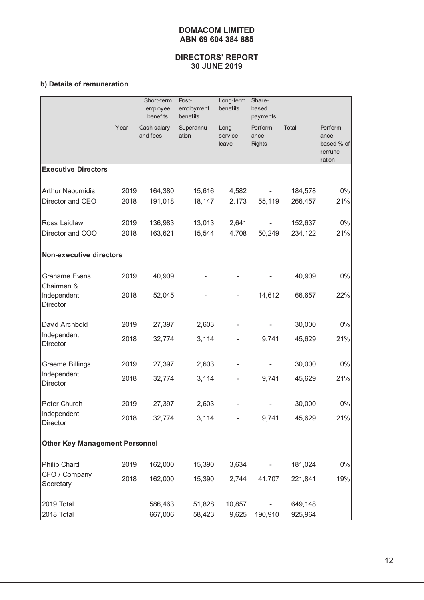# **DIRECTORS' REPORT 30 JUNE 2019**

# **b) Details of remuneration**

|                                       |      | Short-term<br>employee<br>benefits | Post-<br>employment<br>benefits | Long-term<br>benefits    | Share-<br>based<br>payments       |         |                                                     |
|---------------------------------------|------|------------------------------------|---------------------------------|--------------------------|-----------------------------------|---------|-----------------------------------------------------|
|                                       | Year | Cash salary<br>and fees            | Superannu-<br>ation             | Long<br>service<br>leave | Perform-<br>ance<br><b>Rights</b> | Total   | Perform-<br>ance<br>based % of<br>remune-<br>ration |
| <b>Executive Directors</b>            |      |                                    |                                 |                          |                                   |         |                                                     |
| <b>Arthur Naoumidis</b>               | 2019 | 164,380                            | 15,616                          | 4,582                    |                                   | 184,578 | $0\%$                                               |
| Director and CEO                      | 2018 | 191,018                            | 18,147                          | 2,173                    | 55,119                            | 266,457 | 21%                                                 |
| Ross Laidlaw                          | 2019 | 136,983                            | 13,013                          | 2,641                    |                                   | 152,637 | $0\%$                                               |
| Director and COO                      | 2018 | 163,621                            | 15,544                          | 4,708                    | 50,249                            | 234,122 | 21%                                                 |
| <b>Non-executive directors</b>        |      |                                    |                                 |                          |                                   |         |                                                     |
| <b>Grahame Evans</b><br>Chairman &    | 2019 | 40,909                             |                                 |                          |                                   | 40,909  | $0\%$                                               |
| Independent<br>Director               | 2018 | 52,045                             |                                 |                          | 14,612                            | 66,657  | 22%                                                 |
| David Archbold                        | 2019 | 27,397                             | 2,603                           |                          |                                   | 30,000  | $0\%$                                               |
| Independent<br>Director               | 2018 | 32,774                             | 3,114                           |                          | 9,741                             | 45,629  | 21%                                                 |
| <b>Graeme Billings</b>                | 2019 | 27,397                             | 2,603                           |                          |                                   | 30,000  | $0\%$                                               |
| Independent<br>Director               | 2018 | 32,774                             | 3,114                           |                          | 9,741                             | 45,629  | 21%                                                 |
| Peter Church                          | 2019 | 27,397                             | 2,603                           |                          |                                   | 30,000  | $0\%$                                               |
| Independent<br>Director               | 2018 | 32,774                             | 3,114                           |                          | 9,741                             | 45,629  | 21%                                                 |
| <b>Other Key Management Personnel</b> |      |                                    |                                 |                          |                                   |         |                                                     |
| Philip Chard                          | 2019 | 162,000                            | 15,390                          | 3,634                    |                                   | 181,024 | $0\%$                                               |
| CFO / Company<br>Secretary            | 2018 | 162,000                            | 15,390                          | 2,744                    | 41,707                            | 221,841 | 19%                                                 |
| 2019 Total                            |      | 586,463                            | 51,828                          | 10,857                   |                                   | 649,148 |                                                     |
| 2018 Total                            |      | 667,006                            | 58,423                          | 9,625                    | 190,910                           | 925,964 |                                                     |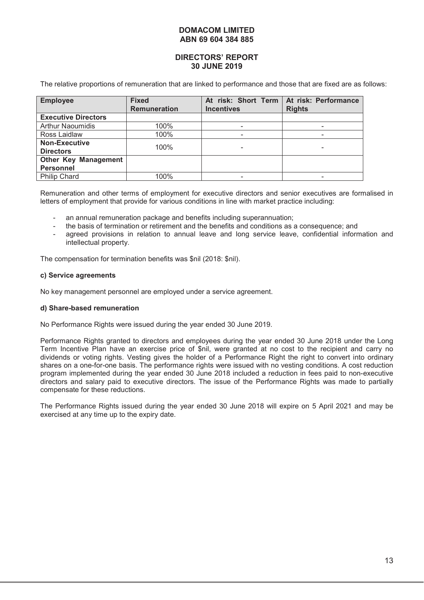## **DIRECTORS' REPORT 30 JUNE 2019**

The relative proportions of remuneration that are linked to performance and those that are fixed are as follows:

| <b>Employee</b>                                 | <b>Fixed</b><br><b>Remuneration</b> | At risk: Short Term<br><b>Incentives</b> | At risk: Performance<br><b>Rights</b> |
|-------------------------------------------------|-------------------------------------|------------------------------------------|---------------------------------------|
| <b>Executive Directors</b>                      |                                     |                                          |                                       |
| <b>Arthur Naoumidis</b>                         | 100%                                |                                          |                                       |
| Ross Laidlaw                                    | 100%                                |                                          |                                       |
| <b>Non-Executive</b><br><b>Directors</b>        | 100%                                |                                          |                                       |
| <b>Other Key Management</b><br><b>Personnel</b> |                                     |                                          |                                       |
| <b>Philip Chard</b>                             | 100%                                |                                          |                                       |

Remuneration and other terms of employment for executive directors and senior executives are formalised in letters of employment that provide for various conditions in line with market practice including:

- an annual remuneration package and benefits including superannuation;
- the basis of termination or retirement and the benefits and conditions as a consequence; and
- agreed provisions in relation to annual leave and long service leave, confidential information and intellectual property.

The compensation for termination benefits was \$nil (2018: \$nil).

#### **c) Service agreements**

No key management personnel are employed under a service agreement.

#### **d) Share-based remuneration**

No Performance Rights were issued during the year ended 30 June 2019.

Performance Rights granted to directors and employees during the year ended 30 June 2018 under the Long Term Incentive Plan have an exercise price of \$nil, were granted at no cost to the recipient and carry no dividends or voting rights. Vesting gives the holder of a Performance Right the right to convert into ordinary shares on a one-for-one basis. The performance rights were issued with no vesting conditions. A cost reduction program implemented during the year ended 30 June 2018 included a reduction in fees paid to non-executive directors and salary paid to executive directors. The issue of the Performance Rights was made to partially compensate for these reductions.

The Performance Rights issued during the year ended 30 June 2018 will expire on 5 April 2021 and may be exercised at any time up to the expiry date.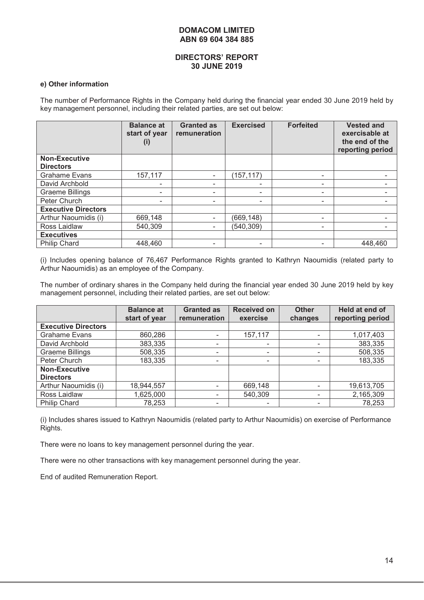#### **DIRECTORS' REPORT 30 JUNE 2019**

#### **e) Other information**

The number of Performance Rights in the Company held during the financial year ended 30 June 2019 held by key management personnel, including their related parties, are set out below:

|                            | <b>Balance at</b><br>start of year<br>$\left( 1\right)$ | <b>Granted as</b><br>remuneration | <b>Exercised</b>         | <b>Forfeited</b> | <b>Vested and</b><br>exercisable at<br>the end of the<br>reporting period |
|----------------------------|---------------------------------------------------------|-----------------------------------|--------------------------|------------------|---------------------------------------------------------------------------|
| <b>Non-Executive</b>       |                                                         |                                   |                          |                  |                                                                           |
| <b>Directors</b>           |                                                         |                                   |                          |                  |                                                                           |
| <b>Grahame Evans</b>       | 157,117                                                 |                                   | (157, 117)               | -                |                                                                           |
| David Archbold             |                                                         |                                   | ۰                        | ۰                |                                                                           |
| <b>Graeme Billings</b>     |                                                         | ۰                                 | $\overline{\phantom{a}}$ | -                |                                                                           |
| Peter Church               |                                                         |                                   | $\overline{\phantom{a}}$ | -                |                                                                           |
| <b>Executive Directors</b> |                                                         |                                   |                          |                  |                                                                           |
| Arthur Naoumidis (i)       | 669,148                                                 |                                   | (669, 148)               | -                |                                                                           |
| Ross Laidlaw               | 540,309                                                 |                                   | (540, 309)               |                  |                                                                           |
| <b>Executives</b>          |                                                         |                                   |                          |                  |                                                                           |
| <b>Philip Chard</b>        | 448,460                                                 |                                   |                          |                  | 448,460                                                                   |

(i) Includes opening balance of 76,467 Performance Rights granted to Kathryn Naoumidis (related party to Arthur Naoumidis) as an employee of the Company.

The number of ordinary shares in the Company held during the financial year ended 30 June 2019 held by key management personnel, including their related parties, are set out below:

|                                          | <b>Balance at</b><br>start of year | <b>Granted as</b><br>remuneration | <b>Received on</b><br>exercise | <b>Other</b><br>changes | Held at end of<br>reporting period |
|------------------------------------------|------------------------------------|-----------------------------------|--------------------------------|-------------------------|------------------------------------|
| <b>Executive Directors</b>               |                                    |                                   |                                |                         |                                    |
| <b>Grahame Evans</b>                     | 860,286                            | $\overline{\phantom{0}}$          | 157,117                        |                         | 1,017,403                          |
| David Archbold                           | 383,335                            | $\overline{\phantom{0}}$          | $\overline{\phantom{a}}$       |                         | 383,335                            |
| <b>Graeme Billings</b>                   | 508,335                            | $\overline{\phantom{0}}$          | ۰                              |                         | 508,335                            |
| Peter Church                             | 183,335                            | $\overline{\phantom{0}}$          | ۰                              |                         | 183,335                            |
| <b>Non-Executive</b><br><b>Directors</b> |                                    |                                   |                                |                         |                                    |
|                                          |                                    |                                   |                                |                         |                                    |
| Arthur Naoumidis (i)                     | 18,944,557                         |                                   | 669,148                        |                         | 19,613,705                         |
| Ross Laidlaw                             | 1,625,000                          | ٠                                 | 540,309                        |                         | 2,165,309                          |
| <b>Philip Chard</b>                      | 78,253                             | ۰                                 | ۰                              |                         | 78,253                             |

(i) Includes shares issued to Kathryn Naoumidis (related party to Arthur Naoumidis) on exercise of Performance Rights.

There were no loans to key management personnel during the year.

There were no other transactions with key management personnel during the year.

End of audited Remuneration Report.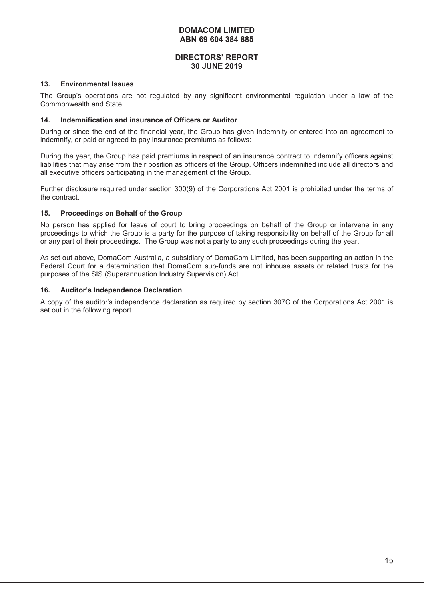#### **DIRECTORS' REPORT 30 JUNE 2019**

#### **13. Environmental Issues**

The Group's operations are not regulated by any significant environmental regulation under a law of the Commonwealth and State.

#### **14. Indemnification and insurance of Officers or Auditor**

During or since the end of the financial year, the Group has given indemnity or entered into an agreement to indemnify, or paid or agreed to pay insurance premiums as follows:

During the year, the Group has paid premiums in respect of an insurance contract to indemnify officers against liabilities that may arise from their position as officers of the Group. Officers indemnified include all directors and all executive officers participating in the management of the Group.

Further disclosure required under section 300(9) of the Corporations Act 2001 is prohibited under the terms of the contract.

#### **15. Proceedings on Behalf of the Group**

No person has applied for leave of court to bring proceedings on behalf of the Group or intervene in any proceedings to which the Group is a party for the purpose of taking responsibility on behalf of the Group for all or any part of their proceedings. The Group was not a party to any such proceedings during the year.

As set out above, DomaCom Australia, a subsidiary of DomaCom Limited, has been supporting an action in the Federal Court for a determination that DomaCom sub-funds are not inhouse assets or related trusts for the purposes of the SIS (Superannuation Industry Supervision) Act.

#### **16. Auditor's Independence Declaration**

A copy of the auditor's independence declaration as required by section 307C of the Corporations Act 2001 is set out in the following report.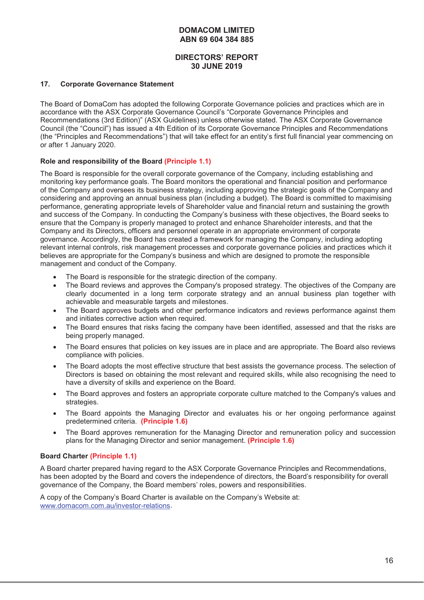# **DIRECTORS' REPORT 30 JUNE 2019**

#### **17. Corporate Governance Statement**

The Board of DomaCom has adopted the following Corporate Governance policies and practices which are in accordance with the ASX Corporate Governance Council's "Corporate Governance Principles and Recommendations (3rd Edition)" (ASX Guidelines) unless otherwise stated. The ASX Corporate Governance Council (the "Council") has issued a 4th Edition of its Corporate Governance Principles and Recommendations (the "Principles and Recommendations") that will take effect for an entity's first full financial year commencing on or after 1 January 2020.

#### **Role and responsibility of the Board (Principle 1.1)**

The Board is responsible for the overall corporate governance of the Company, including establishing and monitoring key performance goals. The Board monitors the operational and financial position and performance of the Company and oversees its business strategy, including approving the strategic goals of the Company and considering and approving an annual business plan (including a budget). The Board is committed to maximising performance, generating appropriate levels of Shareholder value and financial return and sustaining the growth and success of the Company. In conducting the Company's business with these objectives, the Board seeks to ensure that the Company is properly managed to protect and enhance Shareholder interests, and that the Company and its Directors, officers and personnel operate in an appropriate environment of corporate governance. Accordingly, the Board has created a framework for managing the Company, including adopting relevant internal controls, risk management processes and corporate governance policies and practices which it believes are appropriate for the Company's business and which are designed to promote the responsible management and conduct of the Company.

- The Board is responsible for the strategic direction of the company.
- The Board reviews and approves the Company's proposed strategy. The objectives of the Company are clearly documented in a long term corporate strategy and an annual business plan together with achievable and measurable targets and milestones.
- The Board approves budgets and other performance indicators and reviews performance against them and initiates corrective action when required.
- The Board ensures that risks facing the company have been identified, assessed and that the risks are being properly managed.
- The Board ensures that policies on key issues are in place and are appropriate. The Board also reviews compliance with policies.
- The Board adopts the most effective structure that best assists the governance process. The selection of Directors is based on obtaining the most relevant and required skills, while also recognising the need to have a diversity of skills and experience on the Board.
- The Board approves and fosters an appropriate corporate culture matched to the Company's values and strategies.
- The Board appoints the Managing Director and evaluates his or her ongoing performance against predetermined criteria. **(Principle 1.6)**
- The Board approves remuneration for the Managing Director and remuneration policy and succession plans for the Managing Director and senior management. **(Principle 1.6)**

#### **Board Charter (Principle 1.1)**

A Board charter prepared having regard to the ASX Corporate Governance Principles and Recommendations, has been adopted by the Board and covers the independence of directors, the Board's responsibility for overall governance of the Company, the Board members' roles, powers and responsibilities.

A copy of the Company's Board Charter is available on the Company's Website at: www.domacom.com.au/investor-relations.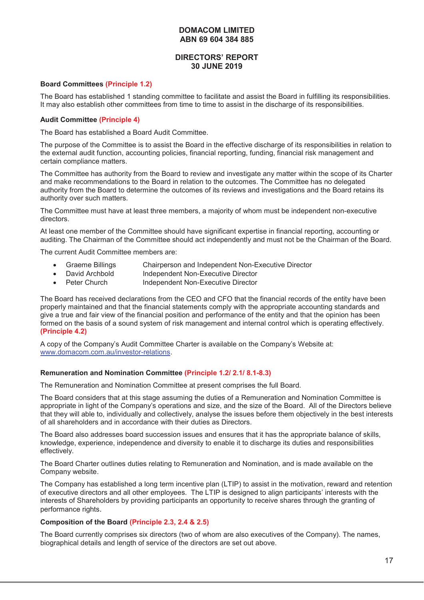# **DIRECTORS' REPORT 30 JUNE 2019**

#### **Board Committees (Principle 1.2)**

The Board has established 1 standing committee to facilitate and assist the Board in fulfilling its responsibilities. It may also establish other committees from time to time to assist in the discharge of its responsibilities.

#### **Audit Committee (Principle 4)**

The Board has established a Board Audit Committee.

The purpose of the Committee is to assist the Board in the effective discharge of its responsibilities in relation to the external audit function, accounting policies, financial reporting, funding, financial risk management and certain compliance matters.

The Committee has authority from the Board to review and investigate any matter within the scope of its Charter and make recommendations to the Board in relation to the outcomes. The Committee has no delegated authority from the Board to determine the outcomes of its reviews and investigations and the Board retains its authority over such matters.

The Committee must have at least three members, a majority of whom must be independent non-executive directors.

At least one member of the Committee should have significant expertise in financial reporting, accounting or auditing. The Chairman of the Committee should act independently and must not be the Chairman of the Board.

The current Audit Committee members are:

- Graeme Billings Chairperson and Independent Non-Executive Director
- David Archbold Independent Non-Executive Director
- Peter Church Independent Non-Executive Director

The Board has received declarations from the CEO and CFO that the financial records of the entity have been properly maintained and that the financial statements comply with the appropriate accounting standards and give a true and fair view of the financial position and performance of the entity and that the opinion has been formed on the basis of a sound system of risk management and internal control which is operating effectively. **(Principle 4.2)** 

A copy of the Company's Audit Committee Charter is available on the Company's Website at: www.domacom.com.au/investor-relations.

#### **Remuneration and Nomination Committee (Principle 1.2/ 2.1/ 8.1-8.3)**

The Remuneration and Nomination Committee at present comprises the full Board.

The Board considers that at this stage assuming the duties of a Remuneration and Nomination Committee is appropriate in light of the Company's operations and size, and the size of the Board. All of the Directors believe that they will able to, individually and collectively, analyse the issues before them objectively in the best interests of all shareholders and in accordance with their duties as Directors.

The Board also addresses board succession issues and ensures that it has the appropriate balance of skills, knowledge, experience, independence and diversity to enable it to discharge its duties and responsibilities effectively.

The Board Charter outlines duties relating to Remuneration and Nomination, and is made available on the Company website.

The Company has established a long term incentive plan (LTIP) to assist in the motivation, reward and retention of executive directors and all other employees. The LTIP is designed to align participants' interests with the interests of Shareholders by providing participants an opportunity to receive shares through the granting of performance rights.

#### **Composition of the Board (Principle 2.3, 2.4 & 2.5)**

The Board currently comprises six directors (two of whom are also executives of the Company). The names, biographical details and length of service of the directors are set out above.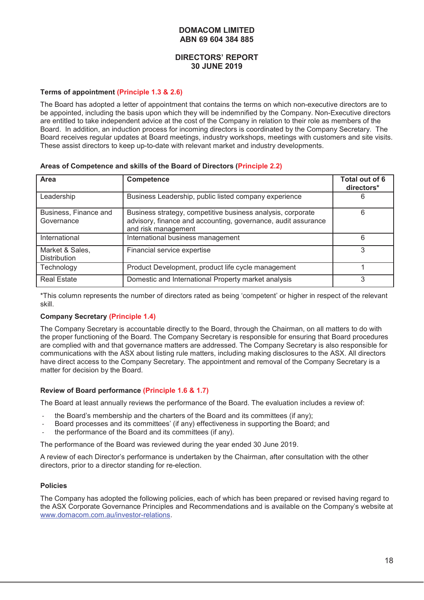#### **DIRECTORS' REPORT 30 JUNE 2019**

#### **Terms of appointment (Principle 1.3 & 2.6)**

The Board has adopted a letter of appointment that contains the terms on which non-executive directors are to be appointed, including the basis upon which they will be indemnified by the Company. Non-Executive directors are entitled to take independent advice at the cost of the Company in relation to their role as members of the Board. In addition, an induction process for incoming directors is coordinated by the Company Secretary. The Board receives regular updates at Board meetings, industry workshops, meetings with customers and site visits. These assist directors to keep up-to-date with relevant market and industry developments.

| Area                                   | Competence                                                                                                                                          | Total out of 6<br>directors* |
|----------------------------------------|-----------------------------------------------------------------------------------------------------------------------------------------------------|------------------------------|
| Leadership                             | Business Leadership, public listed company experience                                                                                               | ь                            |
| Business, Finance and<br>Governance    | Business strategy, competitive business analysis, corporate<br>advisory, finance and accounting, governance, audit assurance<br>and risk management | 6                            |
| International                          | International business management                                                                                                                   | 6                            |
| Market & Sales,<br><b>Distribution</b> | Financial service expertise                                                                                                                         | 3                            |
| Technology                             | Product Development, product life cycle management                                                                                                  |                              |
| <b>Real Estate</b>                     | Domestic and International Property market analysis                                                                                                 | 3                            |

#### **Areas of Competence and skills of the Board of Directors (Principle 2.2)**

\*This column represents the number of directors rated as being 'competent' or higher in respect of the relevant skill.

#### **Company Secretary (Principle 1.4)**

The Company Secretary is accountable directly to the Board, through the Chairman, on all matters to do with the proper functioning of the Board. The Company Secretary is responsible for ensuring that Board procedures are complied with and that governance matters are addressed. The Company Secretary is also responsible for communications with the ASX about listing rule matters, including making disclosures to the ASX. All directors have direct access to the Company Secretary. The appointment and removal of the Company Secretary is a matter for decision by the Board.

#### **Review of Board performance (Principle 1.6 & 1.7)**

The Board at least annually reviews the performance of the Board. The evaluation includes a review of:

- the Board's membership and the charters of the Board and its committees (if any);
- Board processes and its committees' (if any) effectiveness in supporting the Board; and
- the performance of the Board and its committees (if any).

The performance of the Board was reviewed during the year ended 30 June 2019.

A review of each Director's performance is undertaken by the Chairman, after consultation with the other directors, prior to a director standing for re-election.

#### **Policies**

The Company has adopted the following policies, each of which has been prepared or revised having regard to the ASX Corporate Governance Principles and Recommendations and is available on the Company's website at www.domacom.com.au/investor-relations.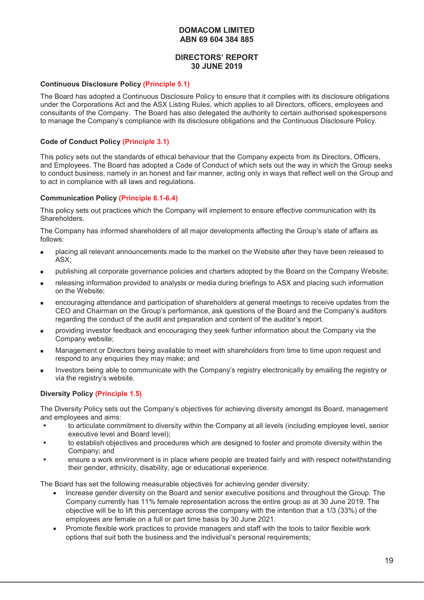# **DIRECTORS' REPORT 30 JUNE 2019**

#### **Continuous Disclosure Policy (Principle 5.1)**

The Board has adopted a Continuous Disclosure Policy to ensure that it complies with its disclosure obligations under the Corporations Act and the ASX Listing Rules, which applies to all Directors, officers, employees and consultants of the Company. The Board has also delegated the authority to certain authorised spokespersons to manage the Company's compliance with its disclosure obligations and the Continuous Disclosure Policy.

#### **Code of Conduct Policy (Principle 3.1)**

This policy sets out the standards of ethical behaviour that the Company expects from its Directors, Officers, and Employees. The Board has adopted a Code of Conduct of which sets out the way in which the Group seeks to conduct business, namely in an honest and fair manner, acting only in ways that reflect well on the Group and to act in compliance with all laws and regulations.

#### **Communication Policy (Principle 6.1-6.4)**

This policy sets out practices which the Company will implement to ensure effective communication with its Shareholders.

The Company has informed shareholders of all major developments affecting the Group's state of affairs as follows:

- placing all relevant announcements made to the market on the Website after they have been released to ASX;
- publishing all corporate governance policies and charters adopted by the Board on the Company Website;
- releasing information provided to analysts or media during briefings to ASX and placing such information on the Website;
- encouraging attendance and participation of shareholders at general meetings to receive updates from the CEO and Chairman on the Group's performance, ask questions of the Board and the Company's auditors regarding the conduct of the audit and preparation and content of the auditor's report.
- providing investor feedback and encouraging they seek further information about the Company via the Company website;
- Management or Directors being available to meet with shareholders from time to time upon request and respond to any enquiries they may make; and
- Investors being able to communicate with the Company's registry electronically by emailing the registry or via the registry's website.

#### **Diversity Policy (Principle 1.5)**

The Diversity Policy sets out the Company's objectives for achieving diversity amongst its Board, management and employees and aims:

- to articulate commitment to diversity within the Company at all levels (including employee level, senior executive level and Board level);
- to establish objectives and procedures which are designed to foster and promote diversity within the Company; and
- ensure a work environment is in place where people are treated fairly and with respect notwithstanding their gender, ethnicity, disability, age or educational experience.

The Board has set the following measurable objectives for achieving gender diversity:

- Increase gender diversity on the Board and senior executive positions and throughout the Group. The Company currently has 11% female representation across the entire group as at 30 June 2019. The objective will be to lift this percentage across the company with the intention that a 1/3 (33%) of the employees are female on a full or part time basis by 30 June 2021.
- Promote flexible work practices to provide managers and staff with the tools to tailor flexible work options that suit both the business and the individual's personal requirements;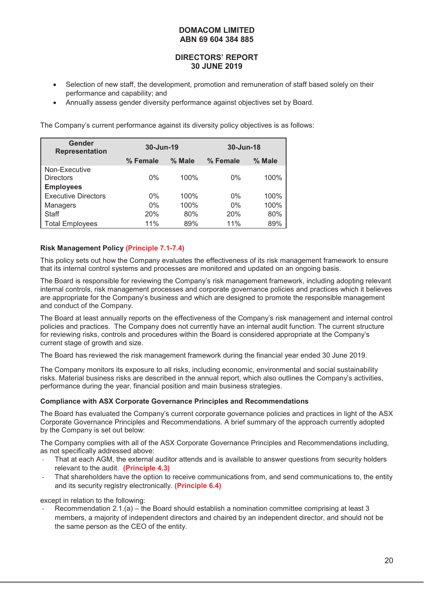# **DIRECTORS' REPORT 30 JUNE 2019**

- Selection of new staff, the development, promotion and remuneration of staff based solely on their performance and capability; and
- x Annually assess gender diversity performance against objectives set by Board.

The Company's current performance against its diversity policy objectives is as follows:

| Gender<br><b>Representation</b> | 30-Jun-19            |      | 30-Jun-18 |        |  |
|---------------------------------|----------------------|------|-----------|--------|--|
|                                 | $%$ Male<br>% Female |      | % Female  | % Male |  |
| Non-Executive                   |                      |      |           |        |  |
| <b>Directors</b>                | $0\%$                | 100% | $0\%$     | 100%   |  |
| <b>Employees</b>                |                      |      |           |        |  |
| <b>Executive Directors</b>      | $0\%$                | 100% | $0\%$     | 100%   |  |
| <b>Managers</b>                 | $0\%$                | 100% | $0\%$     | 100%   |  |
| Staff                           | 20%                  | 80%  | 20%       | 80%    |  |
| <b>Total Employees</b>          | 11%                  | 89%  | 11%       | 89%    |  |

# **Risk Management Policy (Principle 7.1-7.4)**

This policy sets out how the Company evaluates the effectiveness of its risk management framework to ensure that its internal control systems and processes are monitored and updated on an ongoing basis.

The Board is responsible for reviewing the Company's risk management framework, including adopting relevant internal controls, risk management processes and corporate governance policies and practices which it believes are appropriate for the Company's business and which are designed to promote the responsible management and conduct of the Company.

The Board at least annually reports on the effectiveness of the Company's risk management and internal control policies and practices. The Company does not currently have an internal audit function. The current structure for reviewing risks, controls and procedures within the Board is considered appropriate at the Company's current stage of growth and size.

The Board has reviewed the risk management framework during the financial year ended 30 June 2019.

The Company monitors its exposure to all risks, including economic, environmental and social sustainability risks. Material business risks are described in the annual report, which also outlines the Company's activities, performance during the year, financial position and main business strategies.

#### **Compliance with ASX Corporate Governance Principles and Recommendations**

The Board has evaluated the Company's current corporate governance policies and practices in light of the ASX Corporate Governance Principles and Recommendations. A brief summary of the approach currently adopted by the Company is set out below:

The Company complies with all of the ASX Corporate Governance Principles and Recommendations including, as not specifically addressed above:

- That at each AGM, the external auditor attends and is available to answer questions from security holders relevant to the audit. **(Principle 4.3)**
- That shareholders have the option to receive communications from, and send communications to, the entity and its security registry electronically. **(Principle 6.4)**

except in relation to the following:

Recommendation 2.1.(a) – the Board should establish a nomination committee comprising at least 3 members, a majority of independent directors and chaired by an independent director, and should not be the same person as the CEO of the entity.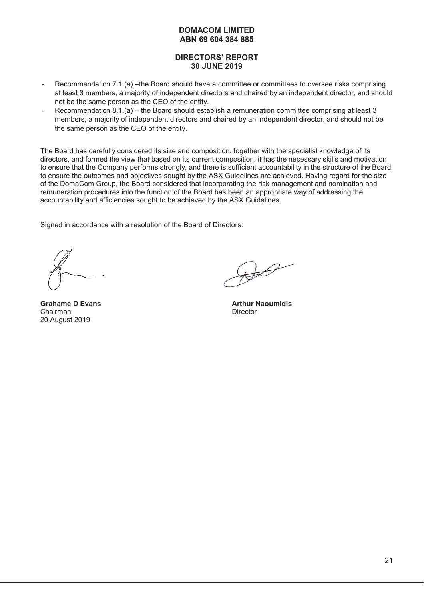# **DIRECTORS' REPORT 30 JUNE 2019**

- Recommendation 7.1.(a) –the Board should have a committee or committees to oversee risks comprising at least 3 members, a majority of independent directors and chaired by an independent director, and should not be the same person as the CEO of the entity.
- Recommendation 8.1.(a) the Board should establish a remuneration committee comprising at least 3 members, a majority of independent directors and chaired by an independent director, and should not be the same person as the CEO of the entity.

The Board has carefully considered its size and composition, together with the specialist knowledge of its directors, and formed the view that based on its current composition, it has the necessary skills and motivation to ensure that the Company performs strongly, and there is sufficient accountability in the structure of the Board, to ensure the outcomes and objectives sought by the ASX Guidelines are achieved. Having regard for the size of the DomaCom Group, the Board considered that incorporating the risk management and nomination and remuneration procedures into the function of the Board has been an appropriate way of addressing the accountability and efficiencies sought to be achieved by the ASX Guidelines.

Signed in accordance with a resolution of the Board of Directors:

**Chairman** Director 20 August 2019

**Grahame D Evans Arthur Naoumidis Arthur Naoumidis Arthur Naoumidis**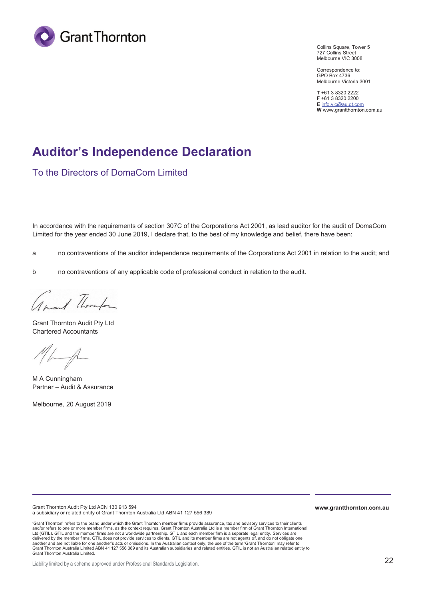

Collins Square, Tower 5 727 Collins Street Melbourne VIC 3008

Correspondence to: GPO Box 4736 Melbourne Victoria 3001

**T** +61 3 8320 2222 **F** +61 3 8320 2200 **E** info.vic@au.gt.com **W** www.grantthornton.com.au

# **Auditor's Independence Declaration**

To the Directors of DomaCom Limited

In accordance with the requirements of section 307C of the Corporations Act 2001, as lead auditor for the audit of DomaCom Limited for the year ended 30 June 2019, I declare that, to the best of my knowledge and belief, there have been:

a no contraventions of the auditor independence requirements of the Corporations Act 2001 in relation to the audit; and

b no contraventions of any applicable code of professional conduct in relation to the audit.

Awart Thompson

Grant Thornton Audit Pty Ltd Chartered Accountants

M A Cunningham Partner – Audit & Assurance

Melbourne, 20 August 2019

Grant Thornton Audit Pty Ltd ACN 130 913 594 a subsidiary or related entity of Grant Thornton Australia Ltd ABN 41 127 556 389

'Grant Thornton' refers to the brand under which the Grant Thornton member firms provide assurance, tax and advisory services to their clients and/or refers to one or more member firms, as the context requires. Grant Thornton Australia Ltd is a member firm of Grant Thornton International Ltd (GTIL). GTIL and the member firms are not a worldwide partnership. GTIL and each member firm is a separate legal entity. Services are<br>delivered by the member firms. GTIL does not provide services to clients. GTIL and i another and are not liable for one another's acts or omissions. In the Australian context only, the use of the term 'Grant Thomton' may refer to<br>Grant Thornton Australia Limited ABN 41 127 556 389 and its Australian subsid Grant Thornton Australia Limited.

Liability limited by a scheme approved under Professional Standards Legislation.

**www.grantthornton.com.au**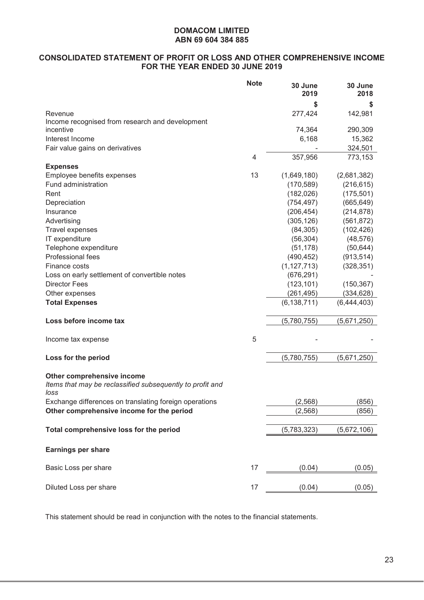# **CONSOLIDATED STATEMENT OF PROFIT OR LOSS AND OTHER COMPREHENSIVE INCOME FOR THE YEAR ENDED 30 JUNE 2019**

|                                                                                                 | <b>Note</b>    | 30 June<br>2019 | 30 June<br>2018 |
|-------------------------------------------------------------------------------------------------|----------------|-----------------|-----------------|
|                                                                                                 |                | \$              | S               |
| Revenue                                                                                         |                | 277,424         | 142,981         |
| Income recognised from research and development                                                 |                |                 |                 |
| incentive                                                                                       |                | 74,364          | 290,309         |
| Interest Income                                                                                 |                | 6,168           | 15,362          |
| Fair value gains on derivatives                                                                 |                |                 | 324,501         |
|                                                                                                 | $\overline{4}$ | 357,956         | 773,153         |
| <b>Expenses</b>                                                                                 |                |                 |                 |
| Employee benefits expenses                                                                      | 13             | (1,649,180)     | (2,681,382)     |
| Fund administration                                                                             |                | (170, 589)      | (216, 615)      |
| Rent                                                                                            |                | (182, 026)      | (175, 501)      |
| Depreciation                                                                                    |                | (754, 497)      | (665, 649)      |
| Insurance                                                                                       |                | (206, 454)      | (214, 878)      |
| Advertising                                                                                     |                | (305, 126)      | (561, 872)      |
| <b>Travel expenses</b>                                                                          |                | (84, 305)       | (102, 426)      |
| IT expenditure                                                                                  |                | (56, 304)       | (48, 576)       |
| Telephone expenditure                                                                           |                | (51, 178)       | (50, 644)       |
| Professional fees                                                                               |                | (490, 452)      | (913, 514)      |
| Finance costs                                                                                   |                | (1, 127, 713)   | (328, 351)      |
| Loss on early settlement of convertible notes                                                   |                | (676, 291)      |                 |
| <b>Director Fees</b>                                                                            |                | (123, 101)      | (150, 367)      |
| Other expenses                                                                                  |                | (261, 495)      | (334, 628)      |
| <b>Total Expenses</b>                                                                           |                | (6, 138, 711)   | (6,444,403)     |
| Loss before income tax                                                                          |                | (5,780,755)     | (5,671,250)     |
| Income tax expense                                                                              | 5              |                 |                 |
| Loss for the period                                                                             |                | (5,780,755)     | (5,671,250)     |
| Other comprehensive income<br>Items that may be reclassified subsequently to profit and<br>loss |                |                 |                 |
| Exchange differences on translating foreign operations                                          |                | (2, 568)        | (856)           |
| Other comprehensive income for the period                                                       |                | (2, 568)        | (856)           |
| Total comprehensive loss for the period                                                         |                | (5,783,323)     | (5,672,106)     |
| <b>Earnings per share</b>                                                                       |                |                 |                 |
| Basic Loss per share                                                                            | 17             | (0.04)          | (0.05)          |
| Diluted Loss per share                                                                          | 17             | (0.04)          | (0.05)          |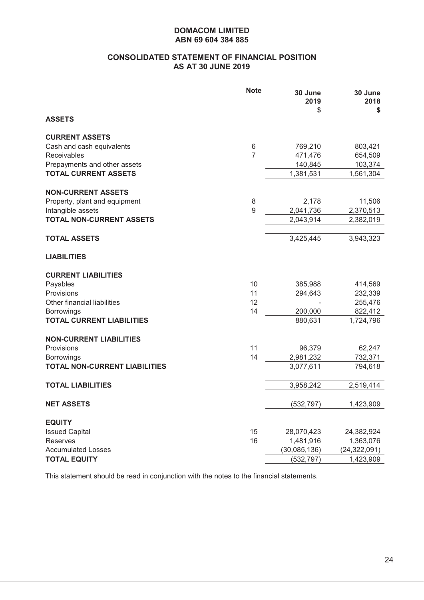# **CONSOLIDATED STATEMENT OF FINANCIAL POSITION AS AT 30 JUNE 2019**

|                                          | <b>Note</b>    | 30 June<br>2019<br>\$ | 30 June<br>2018<br>\$ |
|------------------------------------------|----------------|-----------------------|-----------------------|
| <b>ASSETS</b>                            |                |                       |                       |
| <b>CURRENT ASSETS</b>                    |                |                       |                       |
| Cash and cash equivalents                | 6              | 769,210               | 803,421               |
| Receivables                              | $\overline{7}$ | 471,476               | 654,509               |
| Prepayments and other assets             |                | 140,845               | 103,374               |
| <b>TOTAL CURRENT ASSETS</b>              |                | 1,381,531             | 1,561,304             |
| <b>NON-CURRENT ASSETS</b>                |                |                       |                       |
| Property, plant and equipment            | 8              | 2,178                 | 11,506                |
| Intangible assets                        | $9\,$          | 2,041,736             | 2,370,513             |
| <b>TOTAL NON-CURRENT ASSETS</b>          |                | 2,043,914             | 2,382,019             |
|                                          |                |                       |                       |
| <b>TOTAL ASSETS</b>                      |                | 3,425,445             | 3,943,323             |
| <b>LIABILITIES</b>                       |                |                       |                       |
| <b>CURRENT LIABILITIES</b>               |                |                       |                       |
| Payables                                 | 10             | 385,988               | 414,569               |
| Provisions                               | 11             | 294,643               | 232,339               |
| Other financial liabilities              | 12             |                       | 255,476               |
| <b>Borrowings</b>                        | 14             | 200,000               | 822,412               |
| <b>TOTAL CURRENT LIABILITIES</b>         |                | 880,631               | 1,724,796             |
| <b>NON-CURRENT LIABILITIES</b>           |                |                       |                       |
| Provisions                               | 11             | 96,379                | 62,247                |
| <b>Borrowings</b>                        | 14             | 2,981,232             | 732,371               |
| <b>TOTAL NON-CURRENT LIABILITIES</b>     |                | 3,077,611             | 794,618               |
|                                          |                |                       |                       |
| <b>TOTAL LIABILITIES</b>                 |                | 3,958,242             | 2,519,414             |
| <b>NET ASSETS</b>                        |                | (532, 797)            | 1,423,909             |
|                                          |                |                       |                       |
| <b>EQUITY</b>                            | 15             | 28,070,423            | 24,382,924            |
| <b>Issued Capital</b><br><b>Reserves</b> | 16             | 1,481,916             | 1,363,076             |
| <b>Accumulated Losses</b>                |                | (30,085,136)          | (24, 322, 091)        |
| <b>TOTAL EQUITY</b>                      |                | (532, 797)            | 1,423,909             |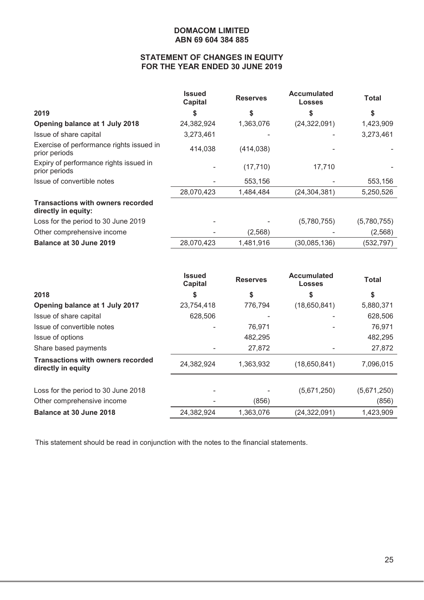# **STATEMENT OF CHANGES IN EQUITY FOR THE YEAR ENDED 30 JUNE 2019**

|                                                                 | <b>Issued</b><br><b>Capital</b> | <b>Reserves</b> | <b>Accumulated</b><br><b>Losses</b> | Total       |
|-----------------------------------------------------------------|---------------------------------|-----------------|-------------------------------------|-------------|
| 2019                                                            | S                               | \$              | S                                   | \$          |
| Opening balance at 1 July 2018                                  | 24,382,924                      | 1,363,076       | (24, 322, 091)                      | 1,423,909   |
| Issue of share capital                                          | 3,273,461                       |                 |                                     | 3,273,461   |
| Exercise of performance rights issued in<br>prior periods       | 414,038                         | (414, 038)      |                                     |             |
| Expiry of performance rights issued in<br>prior periods         |                                 | (17, 710)       | 17,710                              |             |
| Issue of convertible notes                                      |                                 | 553,156         |                                     | 553,156     |
|                                                                 | 28,070,423                      | 1,484,484       | (24, 304, 381)                      | 5,250,526   |
| <b>Transactions with owners recorded</b><br>directly in equity: |                                 |                 |                                     |             |
| Loss for the period to 30 June 2019                             |                                 |                 | (5,780,755)                         | (5,780,755) |
| Other comprehensive income                                      |                                 | (2, 568)        |                                     | (2, 568)    |
| <b>Balance at 30 June 2019</b>                                  | 28,070,423                      | 1,481,916       | (30,085,136)                        | (532, 797)  |

|                                                                | <b>Issued</b><br><b>Capital</b> | <b>Reserves</b> | <b>Accumulated</b><br><b>Losses</b> | <b>Total</b> |
|----------------------------------------------------------------|---------------------------------|-----------------|-------------------------------------|--------------|
| 2018                                                           | \$                              | \$              | \$                                  | \$           |
| Opening balance at 1 July 2017                                 | 23,754,418                      | 776,794         | (18,650,841)                        | 5,880,371    |
| Issue of share capital                                         | 628,506                         |                 |                                     | 628,506      |
| Issue of convertible notes                                     |                                 | 76,971          |                                     | 76,971       |
| Issue of options                                               |                                 | 482,295         |                                     | 482,295      |
| Share based payments                                           |                                 | 27,872          |                                     | 27,872       |
| <b>Transactions with owners recorded</b><br>directly in equity | 24,382,924                      | 1,363,932       | (18,650,841)                        | 7,096,015    |
|                                                                |                                 |                 |                                     |              |
| Loss for the period to 30 June 2018                            |                                 |                 | (5,671,250)                         | (5,671,250)  |
| Other comprehensive income                                     |                                 | (856)           |                                     | (856)        |
| <b>Balance at 30 June 2018</b>                                 | 24,382,924                      | 1,363,076       | (24, 322, 091)                      | 1,423,909    |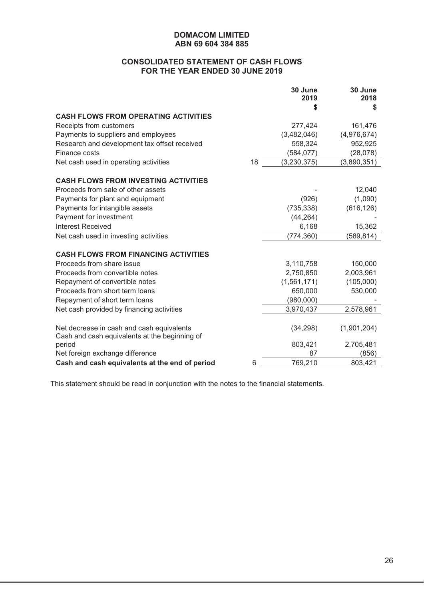# **CONSOLIDATED STATEMENT OF CASH FLOWS FOR THE YEAR ENDED 30 JUNE 2019**

|                                                |    | 30 June<br>2019 | 30 June<br>2018 |
|------------------------------------------------|----|-----------------|-----------------|
|                                                |    | S               | S               |
| <b>CASH FLOWS FROM OPERATING ACTIVITIES</b>    |    |                 |                 |
| Receipts from customers                        |    | 277,424         | 161,476         |
| Payments to suppliers and employees            |    | (3,482,046)     | (4,976,674)     |
| Research and development tax offset received   |    | 558,324         | 952,925         |
| Finance costs                                  |    | (584, 077)      | (28, 078)       |
| Net cash used in operating activities          | 18 | (3, 230, 375)   | (3,890,351)     |
| <b>CASH FLOWS FROM INVESTING ACTIVITIES</b>    |    |                 |                 |
| Proceeds from sale of other assets             |    |                 | 12,040          |
| Payments for plant and equipment               |    | (926)           | (1,090)         |
| Payments for intangible assets                 |    | (735, 338)      | (616, 126)      |
| Payment for investment                         |    | (44, 264)       |                 |
| Interest Received                              |    | 6,168           | 15,362          |
| Net cash used in investing activities          |    | (774, 360)      | (589, 814)      |
| <b>CASH FLOWS FROM FINANCING ACTIVITIES</b>    |    |                 |                 |
| Proceeds from share issue                      |    | 3,110,758       | 150,000         |
| Proceeds from convertible notes                |    | 2,750,850       | 2,003,961       |
| Repayment of convertible notes                 |    | (1, 561, 171)   | (105,000)       |
| Proceeds from short term loans                 |    | 650,000         | 530,000         |
| Repayment of short term loans                  |    | (980,000)       |                 |
| Net cash provided by financing activities      |    | 3,970,437       | 2,578,961       |
| Net decrease in cash and cash equivalents      |    | (34, 298)       | (1,901,204)     |
| Cash and cash equivalents at the beginning of  |    |                 |                 |
| period                                         |    | 803,421         | 2,705,481       |
| Net foreign exchange difference                |    | 87              | (856)           |
| Cash and cash equivalents at the end of period | 6  | 769,210         | 803,421         |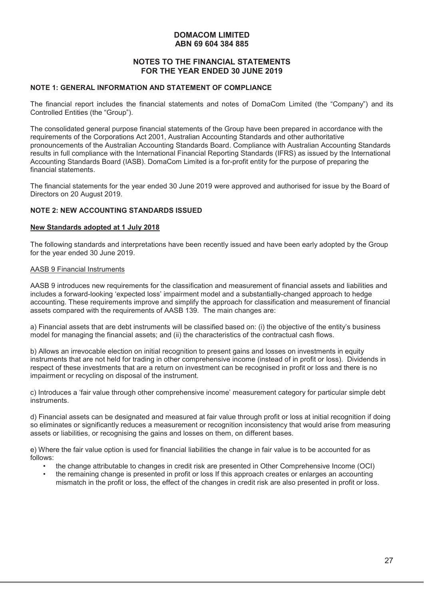#### **NOTES TO THE FINANCIAL STATEMENTS FOR THE YEAR ENDED 30 JUNE 2019**

#### **NOTE 1: GENERAL INFORMATION AND STATEMENT OF COMPLIANCE**

The financial report includes the financial statements and notes of DomaCom Limited (the "Company") and its Controlled Entities (the "Group").

The consolidated general purpose financial statements of the Group have been prepared in accordance with the requirements of the Corporations Act 2001, Australian Accounting Standards and other authoritative pronouncements of the Australian Accounting Standards Board. Compliance with Australian Accounting Standards results in full compliance with the International Financial Reporting Standards (IFRS) as issued by the International Accounting Standards Board (IASB). DomaCom Limited is a for-profit entity for the purpose of preparing the financial statements.

The financial statements for the year ended 30 June 2019 were approved and authorised for issue by the Board of Directors on 20 August 2019.

#### **NOTE 2: NEW ACCOUNTING STANDARDS ISSUED**

#### **New Standards adopted at 1 July 2018**

The following standards and interpretations have been recently issued and have been early adopted by the Group for the year ended 30 June 2019.

#### AASB 9 Financial Instruments

AASB 9 introduces new requirements for the classification and measurement of financial assets and liabilities and includes a forward-looking 'expected loss' impairment model and a substantially-changed approach to hedge accounting. These requirements improve and simplify the approach for classification and measurement of financial assets compared with the requirements of AASB 139. The main changes are:

a) Financial assets that are debt instruments will be classified based on: (i) the objective of the entity's business model for managing the financial assets; and (ii) the characteristics of the contractual cash flows.

b) Allows an irrevocable election on initial recognition to present gains and losses on investments in equity instruments that are not held for trading in other comprehensive income (instead of in profit or loss). Dividends in respect of these investments that are a return on investment can be recognised in profit or loss and there is no impairment or recycling on disposal of the instrument.

c) Introduces a 'fair value through other comprehensive income' measurement category for particular simple debt instruments.

d) Financial assets can be designated and measured at fair value through profit or loss at initial recognition if doing so eliminates or significantly reduces a measurement or recognition inconsistency that would arise from measuring assets or liabilities, or recognising the gains and losses on them, on different bases.

e) Where the fair value option is used for financial liabilities the change in fair value is to be accounted for as follows:

- the change attributable to changes in credit risk are presented in Other Comprehensive Income (OCI)
- the remaining change is presented in profit or loss If this approach creates or enlarges an accounting mismatch in the profit or loss, the effect of the changes in credit risk are also presented in profit or loss.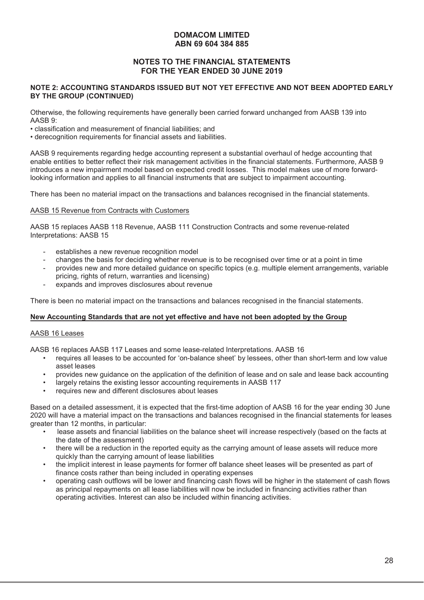# **NOTES TO THE FINANCIAL STATEMENTS FOR THE YEAR ENDED 30 JUNE 2019**

#### **NOTE 2: ACCOUNTING STANDARDS ISSUED BUT NOT YET EFFECTIVE AND NOT BEEN ADOPTED EARLY BY THE GROUP (CONTINUED)**

Otherwise, the following requirements have generally been carried forward unchanged from AASB 139 into AASB 9:

• classification and measurement of financial liabilities; and

• derecognition requirements for financial assets and liabilities.

AASB 9 requirements regarding hedge accounting represent a substantial overhaul of hedge accounting that enable entities to better reflect their risk management activities in the financial statements. Furthermore, AASB 9 introduces a new impairment model based on expected credit losses. This model makes use of more forwardlooking information and applies to all financial instruments that are subject to impairment accounting.

There has been no material impact on the transactions and balances recognised in the financial statements.

#### AASB 15 Revenue from Contracts with Customers

AASB 15 replaces AASB 118 Revenue, AASB 111 Construction Contracts and some revenue-related Interpretations: AASB 15

- establishes a new revenue recognition model
- changes the basis for deciding whether revenue is to be recognised over time or at a point in time
- provides new and more detailed guidance on specific topics (e.g. multiple element arrangements, variable pricing, rights of return, warranties and licensing)
- expands and improves disclosures about revenue

There is been no material impact on the transactions and balances recognised in the financial statements.

#### **New Accounting Standards that are not yet effective and have not been adopted by the Group**

#### AASB 16 Leases

AASB 16 replaces AASB 117 Leases and some lease-related Interpretations. AASB 16

- requires all leases to be accounted for 'on-balance sheet' by lessees, other than short-term and low value asset leases
- provides new guidance on the application of the definition of lease and on sale and lease back accounting
- largely retains the existing lessor accounting requirements in AASB 117
- requires new and different disclosures about leases

Based on a detailed assessment, it is expected that the first-time adoption of AASB 16 for the year ending 30 June 2020 will have a material impact on the transactions and balances recognised in the financial statements for leases greater than 12 months, in particular:

- lease assets and financial liabilities on the balance sheet will increase respectively (based on the facts at the date of the assessment)
- there will be a reduction in the reported equity as the carrying amount of lease assets will reduce more quickly than the carrying amount of lease liabilities
- the implicit interest in lease payments for former off balance sheet leases will be presented as part of finance costs rather than being included in operating expenses
- operating cash outflows will be lower and financing cash flows will be higher in the statement of cash flows as principal repayments on all lease liabilities will now be included in financing activities rather than operating activities. Interest can also be included within financing activities.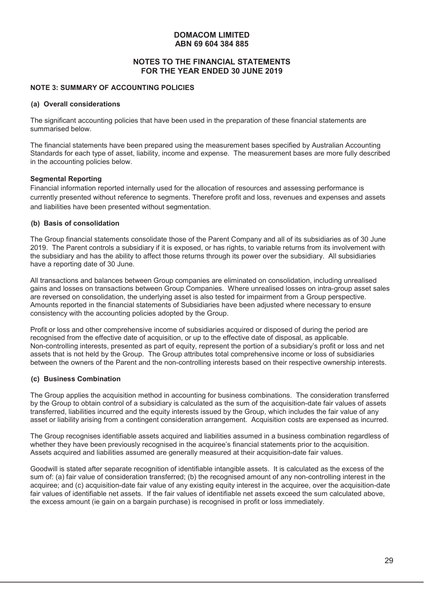# **NOTES TO THE FINANCIAL STATEMENTS FOR THE YEAR ENDED 30 JUNE 2019**

#### **NOTE 3: SUMMARY OF ACCOUNTING POLICIES**

#### **(a) Overall considerations**

The significant accounting policies that have been used in the preparation of these financial statements are summarised below.

The financial statements have been prepared using the measurement bases specified by Australian Accounting Standards for each type of asset, liability, income and expense. The measurement bases are more fully described in the accounting policies below.

#### **Segmental Reporting**

Financial information reported internally used for the allocation of resources and assessing performance is currently presented without reference to segments. Therefore profit and loss, revenues and expenses and assets and liabilities have been presented without segmentation.

#### **(b) Basis of consolidation**

The Group financial statements consolidate those of the Parent Company and all of its subsidiaries as of 30 June 2019. The Parent controls a subsidiary if it is exposed, or has rights, to variable returns from its involvement with the subsidiary and has the ability to affect those returns through its power over the subsidiary. All subsidiaries have a reporting date of 30 June.

All transactions and balances between Group companies are eliminated on consolidation, including unrealised gains and losses on transactions between Group Companies. Where unrealised losses on intra-group asset sales are reversed on consolidation, the underlying asset is also tested for impairment from a Group perspective. Amounts reported in the financial statements of Subsidiaries have been adjusted where necessary to ensure consistency with the accounting policies adopted by the Group.

Profit or loss and other comprehensive income of subsidiaries acquired or disposed of during the period are recognised from the effective date of acquisition, or up to the effective date of disposal, as applicable. Non-controlling interests, presented as part of equity, represent the portion of a subsidiary's profit or loss and net assets that is not held by the Group. The Group attributes total comprehensive income or loss of subsidiaries between the owners of the Parent and the non-controlling interests based on their respective ownership interests.

#### **(c) Business Combination**

The Group applies the acquisition method in accounting for business combinations. The consideration transferred by the Group to obtain control of a subsidiary is calculated as the sum of the acquisition-date fair values of assets transferred, liabilities incurred and the equity interests issued by the Group, which includes the fair value of any asset or liability arising from a contingent consideration arrangement. Acquisition costs are expensed as incurred.

The Group recognises identifiable assets acquired and liabilities assumed in a business combination regardless of whether they have been previously recognised in the acquiree's financial statements prior to the acquisition. Assets acquired and liabilities assumed are generally measured at their acquisition-date fair values.

Goodwill is stated after separate recognition of identifiable intangible assets. It is calculated as the excess of the sum of: (a) fair value of consideration transferred; (b) the recognised amount of any non-controlling interest in the acquiree; and (c) acquisition-date fair value of any existing equity interest in the acquiree, over the acquisition-date fair values of identifiable net assets. If the fair values of identifiable net assets exceed the sum calculated above, the excess amount (ie gain on a bargain purchase) is recognised in profit or loss immediately.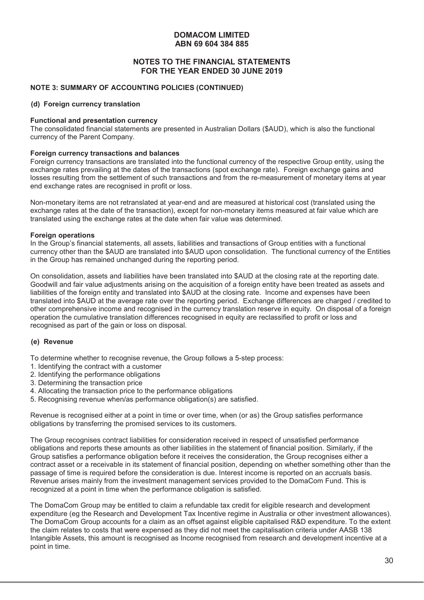## **NOTES TO THE FINANCIAL STATEMENTS FOR THE YEAR ENDED 30 JUNE 2019**

#### **NOTE 3: SUMMARY OF ACCOUNTING POLICIES (CONTINUED)**

#### **(d) Foreign currency translation**

#### **Functional and presentation currency**

The consolidated financial statements are presented in Australian Dollars (\$AUD), which is also the functional currency of the Parent Company.

#### **Foreign currency transactions and balances**

Foreign currency transactions are translated into the functional currency of the respective Group entity, using the exchange rates prevailing at the dates of the transactions (spot exchange rate). Foreign exchange gains and losses resulting from the settlement of such transactions and from the re-measurement of monetary items at year end exchange rates are recognised in profit or loss.

Non-monetary items are not retranslated at year-end and are measured at historical cost (translated using the exchange rates at the date of the transaction), except for non-monetary items measured at fair value which are translated using the exchange rates at the date when fair value was determined.

#### **Foreign operations**

In the Group's financial statements, all assets, liabilities and transactions of Group entities with a functional currency other than the \$AUD are translated into \$AUD upon consolidation. The functional currency of the Entities in the Group has remained unchanged during the reporting period.

On consolidation, assets and liabilities have been translated into \$AUD at the closing rate at the reporting date. Goodwill and fair value adjustments arising on the acquisition of a foreign entity have been treated as assets and liabilities of the foreign entity and translated into \$AUD at the closing rate. Income and expenses have been translated into \$AUD at the average rate over the reporting period. Exchange differences are charged / credited to other comprehensive income and recognised in the currency translation reserve in equity. On disposal of a foreign operation the cumulative translation differences recognised in equity are reclassified to profit or loss and recognised as part of the gain or loss on disposal.

#### **(e) Revenue**

To determine whether to recognise revenue, the Group follows a 5-step process:

- 1. Identifying the contract with a customer
- 2. Identifying the performance obligations
- 3. Determining the transaction price
- 4. Allocating the transaction price to the performance obligations
- 5. Recognising revenue when/as performance obligation(s) are satisfied.

Revenue is recognised either at a point in time or over time, when (or as) the Group satisfies performance obligations by transferring the promised services to its customers.

The Group recognises contract liabilities for consideration received in respect of unsatisfied performance obligations and reports these amounts as other liabilities in the statement of financial position. Similarly, if the Group satisfies a performance obligation before it receives the consideration, the Group recognises either a contract asset or a receivable in its statement of financial position, depending on whether something other than the passage of time is required before the consideration is due. Interest income is reported on an accruals basis. Revenue arises mainly from the investment management services provided to the DomaCom Fund. This is recognized at a point in time when the performance obligation is satisfied.

The DomaCom Group may be entitled to claim a refundable tax credit for eligible research and development expenditure (eg the Research and Development Tax Incentive regime in Australia or other investment allowances). The DomaCom Group accounts for a claim as an offset against eligible capitalised R&D expenditure. To the extent the claim relates to costs that were expensed as they did not meet the capitalisation criteria under AASB 138 Intangible Assets, this amount is recognised as Income recognised from research and development incentive at a point in time.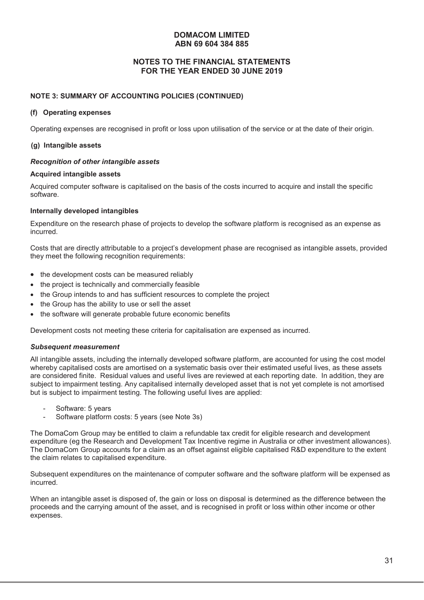# **NOTES TO THE FINANCIAL STATEMENTS FOR THE YEAR ENDED 30 JUNE 2019**

#### **NOTE 3: SUMMARY OF ACCOUNTING POLICIES (CONTINUED)**

#### **(f) Operating expenses**

Operating expenses are recognised in profit or loss upon utilisation of the service or at the date of their origin.

#### **(g) Intangible assets**

#### *Recognition of other intangible assets*

#### **Acquired intangible assets**

Acquired computer software is capitalised on the basis of the costs incurred to acquire and install the specific software.

#### **Internally developed intangibles**

Expenditure on the research phase of projects to develop the software platform is recognised as an expense as incurred.

Costs that are directly attributable to a project's development phase are recognised as intangible assets, provided they meet the following recognition requirements:

- $\bullet$  the development costs can be measured reliably
- $\bullet$  the project is technically and commercially feasible
- the Group intends to and has sufficient resources to complete the project
- the Group has the ability to use or sell the asset
- the software will generate probable future economic benefits

Development costs not meeting these criteria for capitalisation are expensed as incurred.

#### *Subsequent measurement*

All intangible assets, including the internally developed software platform, are accounted for using the cost model whereby capitalised costs are amortised on a systematic basis over their estimated useful lives, as these assets are considered finite. Residual values and useful lives are reviewed at each reporting date. In addition, they are subject to impairment testing. Any capitalised internally developed asset that is not yet complete is not amortised but is subject to impairment testing. The following useful lives are applied:

- Software: 5 years
- Software platform costs: 5 years (see Note 3s)

The DomaCom Group may be entitled to claim a refundable tax credit for eligible research and development expenditure (eg the Research and Development Tax Incentive regime in Australia or other investment allowances). The DomaCom Group accounts for a claim as an offset against eligible capitalised R&D expenditure to the extent the claim relates to capitalised expenditure.

Subsequent expenditures on the maintenance of computer software and the software platform will be expensed as incurred.

When an intangible asset is disposed of, the gain or loss on disposal is determined as the difference between the proceeds and the carrying amount of the asset, and is recognised in profit or loss within other income or other expenses.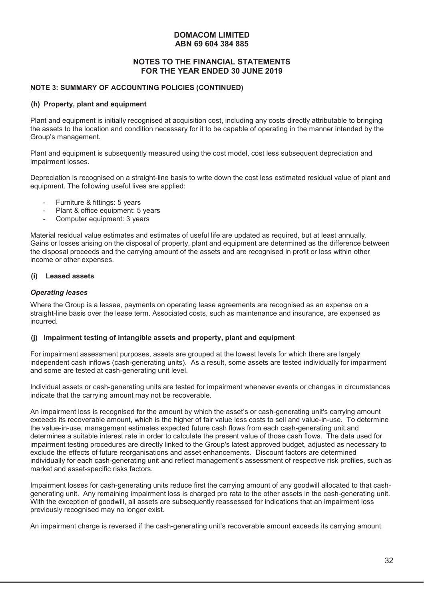# **NOTES TO THE FINANCIAL STATEMENTS FOR THE YEAR ENDED 30 JUNE 2019**

# **NOTE 3: SUMMARY OF ACCOUNTING POLICIES (CONTINUED)**

#### **(h) Property, plant and equipment**

Plant and equipment is initially recognised at acquisition cost, including any costs directly attributable to bringing the assets to the location and condition necessary for it to be capable of operating in the manner intended by the Group's management.

Plant and equipment is subsequently measured using the cost model, cost less subsequent depreciation and impairment losses.

Depreciation is recognised on a straight-line basis to write down the cost less estimated residual value of plant and equipment. The following useful lives are applied:

- Furniture & fittings: 5 years
- Plant & office equipment: 5 years
- Computer equipment: 3 years

Material residual value estimates and estimates of useful life are updated as required, but at least annually. Gains or losses arising on the disposal of property, plant and equipment are determined as the difference between the disposal proceeds and the carrying amount of the assets and are recognised in profit or loss within other income or other expenses.

### **(i) Leased assets**

#### *Operating leases*

Where the Group is a lessee, payments on operating lease agreements are recognised as an expense on a straight-line basis over the lease term. Associated costs, such as maintenance and insurance, are expensed as incurred.

#### **(j) Impairment testing of intangible assets and property, plant and equipment**

For impairment assessment purposes, assets are grouped at the lowest levels for which there are largely independent cash inflows (cash-generating units). As a result, some assets are tested individually for impairment and some are tested at cash-generating unit level.

Individual assets or cash-generating units are tested for impairment whenever events or changes in circumstances indicate that the carrying amount may not be recoverable.

An impairment loss is recognised for the amount by which the asset's or cash-generating unit's carrying amount exceeds its recoverable amount, which is the higher of fair value less costs to sell and value-in-use. To determine the value-in-use, management estimates expected future cash flows from each cash-generating unit and determines a suitable interest rate in order to calculate the present value of those cash flows. The data used for impairment testing procedures are directly linked to the Group's latest approved budget, adjusted as necessary to exclude the effects of future reorganisations and asset enhancements. Discount factors are determined individually for each cash-generating unit and reflect management's assessment of respective risk profiles, such as market and asset-specific risks factors.

Impairment losses for cash-generating units reduce first the carrying amount of any goodwill allocated to that cashgenerating unit. Any remaining impairment loss is charged pro rata to the other assets in the cash-generating unit. With the exception of goodwill, all assets are subsequently reassessed for indications that an impairment loss previously recognised may no longer exist.

An impairment charge is reversed if the cash-generating unit's recoverable amount exceeds its carrying amount.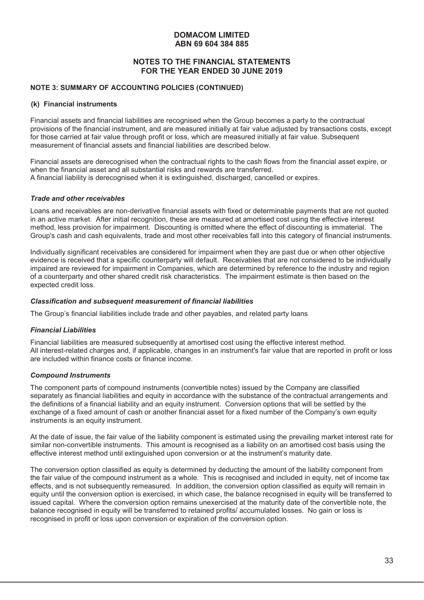# **NOTES TO THE FINANCIAL STATEMENTS FOR THE YEAR ENDED 30 JUNE 2019**

#### **NOTE 3: SUMMARY OF ACCOUNTING POLICIES (CONTINUED)**

#### **(k) Financial instruments**

Financial assets and financial liabilities are recognised when the Group becomes a party to the contractual provisions of the financial instrument, and are measured initially at fair value adjusted by transactions costs, except for those carried at fair value through profit or loss, which are measured initially at fair value. Subsequent measurement of financial assets and financial liabilities are described below.

Financial assets are derecognised when the contractual rights to the cash flows from the financial asset expire, or when the financial asset and all substantial risks and rewards are transferred. A financial liability is derecognised when it is extinguished, discharged, cancelled or expires.

#### *Trade and other receivables*

Loans and receivables are non-derivative financial assets with fixed or determinable payments that are not quoted in an active market. After initial recognition, these are measured at amortised cost using the effective interest method, less provision for impairment. Discounting is omitted where the effect of discounting is immaterial. The Group's cash and cash equivalents, trade and most other receivables fall into this category of financial instruments.

Individually significant receivables are considered for impairment when they are past due or when other objective evidence is received that a specific counterparty will default. Receivables that are not considered to be individually impaired are reviewed for impairment in Companies, which are determined by reference to the industry and region of a counterparty and other shared credit risk characteristics. The impairment estimate is then based on the expected credit loss.

#### *Classification and subsequent measurement of financial liabilities*

The Group's financial liabilities include trade and other payables, and related party loans

#### *Financial Liabilities*

Financial liabilities are measured subsequently at amortised cost using the effective interest method. All interest-related charges and, if applicable, changes in an instrument's fair value that are reported in profit or loss are included within finance costs or finance income.

#### *Compound Instruments*

The component parts of compound instruments (convertible notes) issued by the Company are classified separately as financial liabilities and equity in accordance with the substance of the contractual arrangements and the definitions of a financial liability and an equity instrument. Conversion options that will be settled by the exchange of a fixed amount of cash or another financial asset for a fixed number of the Company's own equity instruments is an equity instrument.

At the date of issue, the fair value of the liability component is estimated using the prevailing market interest rate for similar non-convertible instruments. This amount is recognised as a liability on an amortised cost basis using the effective interest method until extinguished upon conversion or at the instrument's maturity date.

The conversion option classified as equity is determined by deducting the amount of the liability component from the fair value of the compound instrument as a whole. This is recognised and included in equity, net of income tax effects, and is not subsequently remeasured. In addition, the conversion option classified as equity will remain in equity until the conversion option is exercised, in which case, the balance recognised in equity will be transferred to issued capital. Where the conversion option remains unexercised at the maturity date of the convertible note, the balance recognised in equity will be transferred to retained profits/ accumulated losses. No gain or loss is recognised in profit or loss upon conversion or expiration of the conversion option.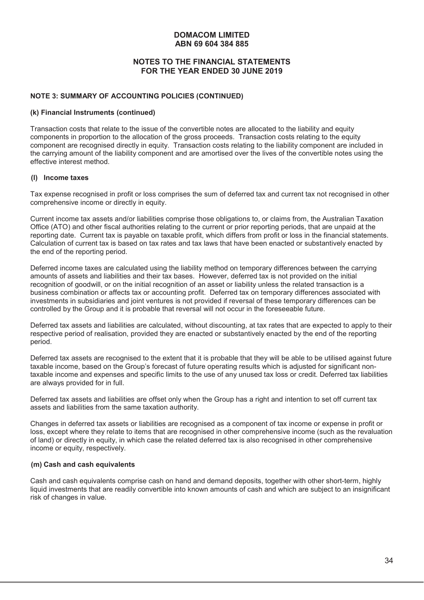# **NOTES TO THE FINANCIAL STATEMENTS FOR THE YEAR ENDED 30 JUNE 2019**

#### **NOTE 3: SUMMARY OF ACCOUNTING POLICIES (CONTINUED)**

#### **(k) Financial Instruments (continued)**

Transaction costs that relate to the issue of the convertible notes are allocated to the liability and equity components in proportion to the allocation of the gross proceeds. Transaction costs relating to the equity component are recognised directly in equity. Transaction costs relating to the liability component are included in the carrying amount of the liability component and are amortised over the lives of the convertible notes using the effective interest method.

#### **(l) Income taxes**

Tax expense recognised in profit or loss comprises the sum of deferred tax and current tax not recognised in other comprehensive income or directly in equity.

Current income tax assets and/or liabilities comprise those obligations to, or claims from, the Australian Taxation Office (ATO) and other fiscal authorities relating to the current or prior reporting periods, that are unpaid at the reporting date. Current tax is payable on taxable profit, which differs from profit or loss in the financial statements. Calculation of current tax is based on tax rates and tax laws that have been enacted or substantively enacted by the end of the reporting period.

Deferred income taxes are calculated using the liability method on temporary differences between the carrying amounts of assets and liabilities and their tax bases. However, deferred tax is not provided on the initial recognition of goodwill, or on the initial recognition of an asset or liability unless the related transaction is a business combination or affects tax or accounting profit. Deferred tax on temporary differences associated with investments in subsidiaries and joint ventures is not provided if reversal of these temporary differences can be controlled by the Group and it is probable that reversal will not occur in the foreseeable future.

Deferred tax assets and liabilities are calculated, without discounting, at tax rates that are expected to apply to their respective period of realisation, provided they are enacted or substantively enacted by the end of the reporting period.

Deferred tax assets are recognised to the extent that it is probable that they will be able to be utilised against future taxable income, based on the Group's forecast of future operating results which is adjusted for significant nontaxable income and expenses and specific limits to the use of any unused tax loss or credit. Deferred tax liabilities are always provided for in full.

Deferred tax assets and liabilities are offset only when the Group has a right and intention to set off current tax assets and liabilities from the same taxation authority.

Changes in deferred tax assets or liabilities are recognised as a component of tax income or expense in profit or loss, except where they relate to items that are recognised in other comprehensive income (such as the revaluation of land) or directly in equity, in which case the related deferred tax is also recognised in other comprehensive income or equity, respectively.

# **(m) Cash and cash equivalents**

Cash and cash equivalents comprise cash on hand and demand deposits, together with other short-term, highly liquid investments that are readily convertible into known amounts of cash and which are subject to an insignificant risk of changes in value.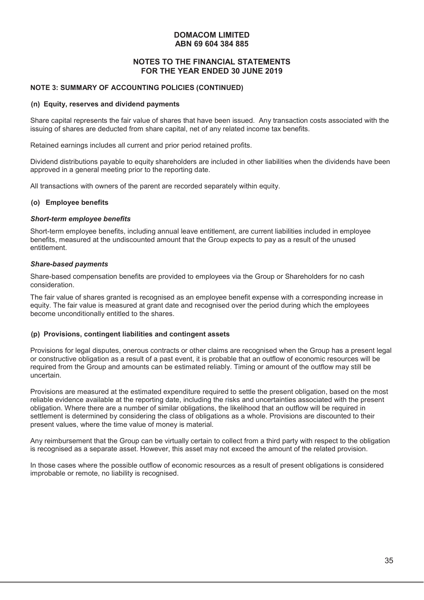## **NOTES TO THE FINANCIAL STATEMENTS FOR THE YEAR ENDED 30 JUNE 2019**

#### **NOTE 3: SUMMARY OF ACCOUNTING POLICIES (CONTINUED)**

#### **(n) Equity, reserves and dividend payments**

Share capital represents the fair value of shares that have been issued. Any transaction costs associated with the issuing of shares are deducted from share capital, net of any related income tax benefits.

Retained earnings includes all current and prior period retained profits.

Dividend distributions payable to equity shareholders are included in other liabilities when the dividends have been approved in a general meeting prior to the reporting date.

All transactions with owners of the parent are recorded separately within equity.

#### **(o) Employee benefits**

#### *Short-term employee benefits*

Short-term employee benefits, including annual leave entitlement, are current liabilities included in employee benefits, measured at the undiscounted amount that the Group expects to pay as a result of the unused entitlement.

#### *Share-based payments*

Share-based compensation benefits are provided to employees via the Group or Shareholders for no cash consideration.

The fair value of shares granted is recognised as an employee benefit expense with a corresponding increase in equity. The fair value is measured at grant date and recognised over the period during which the employees become unconditionally entitled to the shares.

#### **(p) Provisions, contingent liabilities and contingent assets**

Provisions for legal disputes, onerous contracts or other claims are recognised when the Group has a present legal or constructive obligation as a result of a past event, it is probable that an outflow of economic resources will be required from the Group and amounts can be estimated reliably. Timing or amount of the outflow may still be uncertain.

Provisions are measured at the estimated expenditure required to settle the present obligation, based on the most reliable evidence available at the reporting date, including the risks and uncertainties associated with the present obligation. Where there are a number of similar obligations, the likelihood that an outflow will be required in settlement is determined by considering the class of obligations as a whole. Provisions are discounted to their present values, where the time value of money is material.

Any reimbursement that the Group can be virtually certain to collect from a third party with respect to the obligation is recognised as a separate asset. However, this asset may not exceed the amount of the related provision.

In those cases where the possible outflow of economic resources as a result of present obligations is considered improbable or remote, no liability is recognised.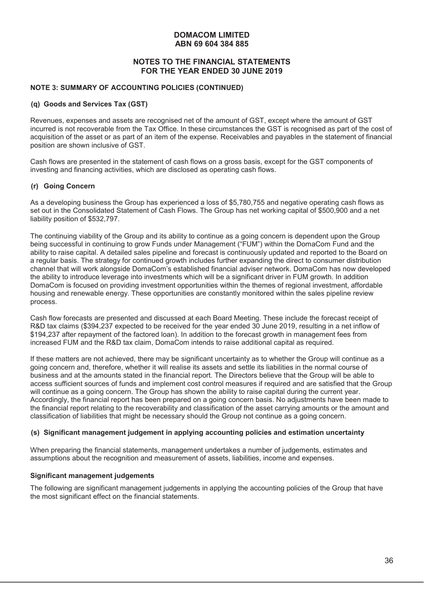## **NOTES TO THE FINANCIAL STATEMENTS FOR THE YEAR ENDED 30 JUNE 2019**

#### **NOTE 3: SUMMARY OF ACCOUNTING POLICIES (CONTINUED)**

#### **(q) Goods and Services Tax (GST)**

Revenues, expenses and assets are recognised net of the amount of GST, except where the amount of GST incurred is not recoverable from the Tax Office. In these circumstances the GST is recognised as part of the cost of acquisition of the asset or as part of an item of the expense. Receivables and payables in the statement of financial position are shown inclusive of GST.

Cash flows are presented in the statement of cash flows on a gross basis, except for the GST components of investing and financing activities, which are disclosed as operating cash flows.

#### **(r) Going Concern**

As a developing business the Group has experienced a loss of \$5,780,755 and negative operating cash flows as set out in the Consolidated Statement of Cash Flows. The Group has net working capital of \$500,900 and a net liability position of \$532,797.

The continuing viability of the Group and its ability to continue as a going concern is dependent upon the Group being successful in continuing to grow Funds under Management ("FUM") within the DomaCom Fund and the ability to raise capital. A detailed sales pipeline and forecast is continuously updated and reported to the Board on a regular basis. The strategy for continued growth includes further expanding the direct to consumer distribution channel that will work alongside DomaCom's established financial adviser network. DomaCom has now developed the ability to introduce leverage into investments which will be a significant driver in FUM growth. In addition DomaCom is focused on providing investment opportunities within the themes of regional investment, affordable housing and renewable energy. These opportunities are constantly monitored within the sales pipeline review process.

Cash flow forecasts are presented and discussed at each Board Meeting. These include the forecast receipt of R&D tax claims (\$394,237 expected to be received for the year ended 30 June 2019, resulting in a net inflow of \$194,237 after repayment of the factored loan). In addition to the forecast growth in management fees from increased FUM and the R&D tax claim, DomaCom intends to raise additional capital as required.

If these matters are not achieved, there may be significant uncertainty as to whether the Group will continue as a going concern and, therefore, whether it will realise its assets and settle its liabilities in the normal course of business and at the amounts stated in the financial report. The Directors believe that the Group will be able to access sufficient sources of funds and implement cost control measures if required and are satisfied that the Group will continue as a going concern. The Group has shown the ability to raise capital during the current year. Accordingly, the financial report has been prepared on a going concern basis. No adjustments have been made to the financial report relating to the recoverability and classification of the asset carrying amounts or the amount and classification of liabilities that might be necessary should the Group not continue as a going concern.

#### **(s) Significant management judgement in applying accounting policies and estimation uncertainty**

When preparing the financial statements, management undertakes a number of judgements, estimates and assumptions about the recognition and measurement of assets, liabilities, income and expenses.

#### **Significant management judgements**

The following are significant management judgements in applying the accounting policies of the Group that have the most significant effect on the financial statements.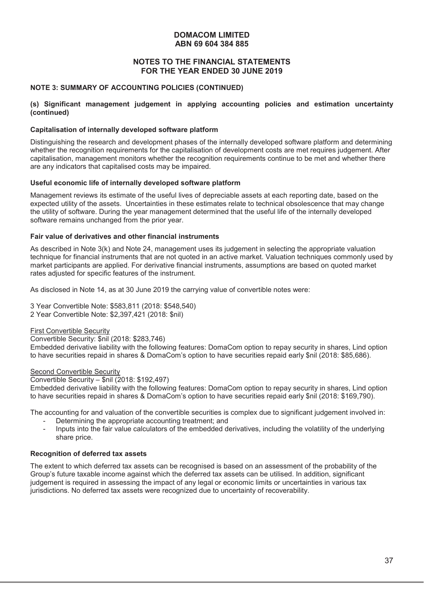#### **NOTES TO THE FINANCIAL STATEMENTS FOR THE YEAR ENDED 30 JUNE 2019**

#### **NOTE 3: SUMMARY OF ACCOUNTING POLICIES (CONTINUED)**

#### **(s) Significant management judgement in applying accounting policies and estimation uncertainty (continued)**

#### **Capitalisation of internally developed software platform**

Distinguishing the research and development phases of the internally developed software platform and determining whether the recognition requirements for the capitalisation of development costs are met requires judgement. After capitalisation, management monitors whether the recognition requirements continue to be met and whether there are any indicators that capitalised costs may be impaired.

#### **Useful economic life of internally developed software platform**

Management reviews its estimate of the useful lives of depreciable assets at each reporting date, based on the expected utility of the assets. Uncertainties in these estimates relate to technical obsolescence that may change the utility of software. During the year management determined that the useful life of the internally developed software remains unchanged from the prior year.

#### **Fair value of derivatives and other financial instruments**

As described in Note 3(k) and Note 24, management uses its judgement in selecting the appropriate valuation technique for financial instruments that are not quoted in an active market. Valuation techniques commonly used by market participants are applied. For derivative financial instruments, assumptions are based on quoted market rates adjusted for specific features of the instrument.

As disclosed in Note 14, as at 30 June 2019 the carrying value of convertible notes were:

3 Year Convertible Note: \$583,811 (2018: \$548,540) 2 Year Convertible Note: \$2,397,421 (2018: \$nil)

#### First Convertible Security

Convertible Security: \$nil (2018: \$283,746)

Embedded derivative liability with the following features: DomaCom option to repay security in shares, Lind option to have securities repaid in shares & DomaCom's option to have securities repaid early \$nil (2018: \$85,686).

#### Second Convertible Security

Convertible Security – \$nil (2018: \$192,497)

Embedded derivative liability with the following features: DomaCom option to repay security in shares, Lind option to have securities repaid in shares & DomaCom's option to have securities repaid early \$nil (2018: \$169,790).

The accounting for and valuation of the convertible securities is complex due to significant judgement involved in:

- Determining the appropriate accounting treatment; and
- Inputs into the fair value calculators of the embedded derivatives, including the volatility of the underlying share price.

#### **Recognition of deferred tax assets**

The extent to which deferred tax assets can be recognised is based on an assessment of the probability of the Group's future taxable income against which the deferred tax assets can be utilised. In addition, significant judgement is required in assessing the impact of any legal or economic limits or uncertainties in various tax jurisdictions. No deferred tax assets were recognized due to uncertainty of recoverability.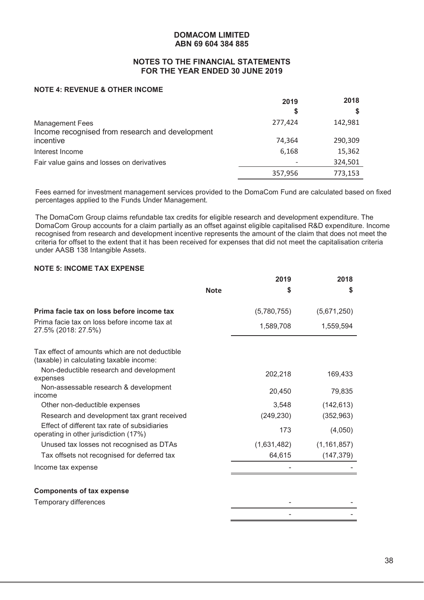#### **NOTES TO THE FINANCIAL STATEMENTS FOR THE YEAR ENDED 30 JUNE 2019**

# **NOTE 4: REVENUE & OTHER INCOME**

|                                                 | 2019    | 2018    |
|-------------------------------------------------|---------|---------|
|                                                 | S       |         |
| <b>Management Fees</b>                          | 277,424 | 142,981 |
| Income recognised from research and development |         |         |
| incentive                                       | 74,364  | 290,309 |
| Interest Income                                 | 6,168   | 15,362  |
| Fair value gains and losses on derivatives      |         | 324,501 |
|                                                 | 357,956 | 773,153 |

Fees earned for investment management services provided to the DomaCom Fund are calculated based on fixed percentages applied to the Funds Under Management.

The DomaCom Group claims refundable tax credits for eligible research and development expenditure. The DomaCom Group accounts for a claim partially as an offset against eligible capitalised R&D expenditure. Income recognised from research and development incentive represents the amount of the claim that does not meet the criteria for offset to the extent that it has been received for expenses that did not meet the capitalisation criteria under AASB 138 Intangible Assets.

# **NOTE 5: INCOME TAX EXPENSE**

|                                                                                            |             | 2019        | 2018          |
|--------------------------------------------------------------------------------------------|-------------|-------------|---------------|
|                                                                                            | <b>Note</b> | S           | \$            |
| Prima facie tax on loss before income tax                                                  |             | (5,780,755) | (5,671,250)   |
| Prima facie tax on loss before income tax at<br>27.5% (2018: 27.5%)                        |             | 1,589,708   | 1,559,594     |
| Tax effect of amounts which are not deductible<br>(taxable) in calculating taxable income: |             |             |               |
| Non-deductible research and development<br>expenses                                        |             | 202,218     | 169,433       |
| Non-assessable research & development<br>income                                            |             | 20,450      | 79,835        |
| Other non-deductible expenses                                                              |             | 3,548       | (142, 613)    |
| Research and development tax grant received                                                |             | (249, 230)  | (352, 963)    |
| Effect of different tax rate of subsidiaries<br>operating in other jurisdiction (17%)      |             | 173         | (4,050)       |
| Unused tax losses not recognised as DTAs                                                   |             | (1,631,482) | (1, 161, 857) |
| Tax offsets not recognised for deferred tax                                                |             | 64,615      | (147, 379)    |
| Income tax expense                                                                         |             |             |               |
| <b>Components of tax expense</b>                                                           |             |             |               |
| Temporary differences                                                                      |             |             |               |
|                                                                                            |             |             |               |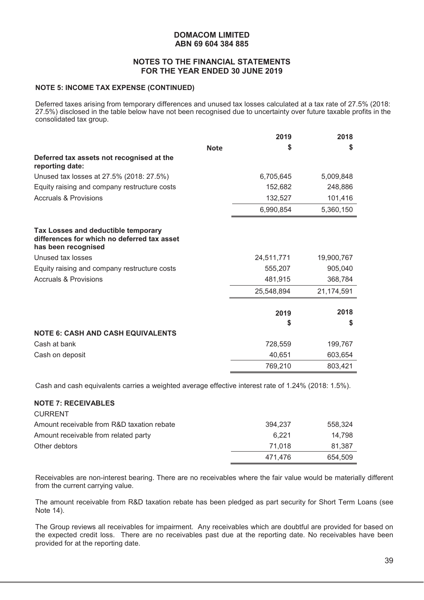#### **NOTES TO THE FINANCIAL STATEMENTS FOR THE YEAR ENDED 30 JUNE 2019**

#### **NOTE 5: INCOME TAX EXPENSE (CONTINUED)**

Deferred taxes arising from temporary differences and unused tax losses calculated at a tax rate of 27.5% (2018: 27.5%) disclosed in the table below have not been recognised due to uncertainty over future taxable profits in the consolidated tax group.

|                                                                                                           |             | 2019       | 2018       |
|-----------------------------------------------------------------------------------------------------------|-------------|------------|------------|
|                                                                                                           | <b>Note</b> | S          | S          |
| Deferred tax assets not recognised at the<br>reporting date:                                              |             |            |            |
| Unused tax losses at 27.5% (2018: 27.5%)                                                                  |             | 6,705,645  | 5,009,848  |
| Equity raising and company restructure costs                                                              |             | 152,682    | 248,886    |
| <b>Accruals &amp; Provisions</b>                                                                          |             | 132,527    | 101,416    |
|                                                                                                           |             | 6,990,854  | 5,360,150  |
| Tax Losses and deductible temporary<br>differences for which no deferred tax asset<br>has been recognised |             |            |            |
| Unused tax losses                                                                                         |             | 24,511,771 | 19,900,767 |
| Equity raising and company restructure costs                                                              |             | 555,207    | 905,040    |
| <b>Accruals &amp; Provisions</b>                                                                          |             | 481,915    | 368,784    |
|                                                                                                           |             | 25,548,894 | 21,174,591 |
|                                                                                                           |             | 2019<br>S  | 2018<br>S  |
| <b>NOTE 6: CASH AND CASH EQUIVALENTS</b>                                                                  |             |            |            |
| Cash at bank                                                                                              |             | 728,559    | 199,767    |
| Cash on deposit                                                                                           |             | 40,651     | 603,654    |
|                                                                                                           |             | 769,210    | 803.421    |

Cash and cash equivalents carries a weighted average effective interest rate of 1.24% (2018: 1.5%).

#### **NOTE 7: RECEIVABLES**

 $C$ 

| <b>CURRENI</b>                             |         |         |
|--------------------------------------------|---------|---------|
| Amount receivable from R&D taxation rebate | 394.237 | 558,324 |
| Amount receivable from related party       | 6.221   | 14.798  |
| Other debtors                              | 71.018  | 81.387  |
|                                            | 471.476 | 654.509 |

Receivables are non-interest bearing. There are no receivables where the fair value would be materially different from the current carrying value.

The amount receivable from R&D taxation rebate has been pledged as part security for Short Term Loans (see Note 14).

The Group reviews all receivables for impairment. Any receivables which are doubtful are provided for based on the expected credit loss. There are no receivables past due at the reporting date. No receivables have been provided for at the reporting date.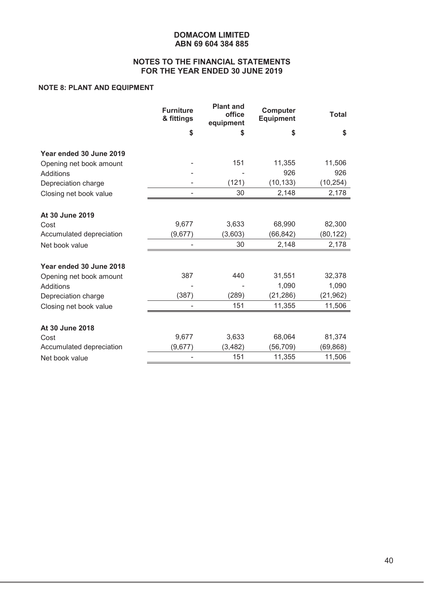# **NOTES TO THE FINANCIAL STATEMENTS FOR THE YEAR ENDED 30 JUNE 2019**

# **NOTE 8: PLANT AND EQUIPMENT**

|                          | <b>Furniture</b><br>& fittings | <b>Plant and</b><br>office<br>equipment | <b>Computer</b><br><b>Equipment</b> | <b>Total</b> |
|--------------------------|--------------------------------|-----------------------------------------|-------------------------------------|--------------|
|                          | \$                             | \$                                      | \$                                  | \$           |
| Year ended 30 June 2019  |                                |                                         |                                     |              |
| Opening net book amount  |                                | 151                                     | 11,355                              | 11,506       |
| Additions                |                                |                                         | 926                                 | 926          |
| Depreciation charge      |                                | (121)                                   | (10, 133)                           | (10, 254)    |
| Closing net book value   |                                | 30                                      | 2,148                               | 2,178        |
| At 30 June 2019          |                                |                                         |                                     |              |
| Cost                     | 9,677                          | 3,633                                   | 68,990                              | 82,300       |
| Accumulated depreciation | (9,677)                        | (3,603)                                 | (66, 842)                           | (80, 122)    |
| Net book value           |                                | 30                                      | 2,148                               | 2,178        |
|                          |                                |                                         |                                     |              |
| Year ended 30 June 2018  |                                |                                         |                                     |              |
| Opening net book amount  | 387                            | 440                                     | 31,551                              | 32,378       |
| Additions                |                                |                                         | 1,090                               | 1,090        |
| Depreciation charge      | (387)                          | (289)                                   | (21, 286)                           | (21, 962)    |
| Closing net book value   | ٠                              | 151                                     | 11,355                              | 11,506       |
| At 30 June 2018          |                                |                                         |                                     |              |
| Cost                     | 9,677                          | 3,633                                   | 68,064                              | 81,374       |
| Accumulated depreciation | (9,677)                        | (3, 482)                                | (56, 709)                           | (69, 868)    |
| Net book value           |                                | 151                                     | 11,355                              | 11,506       |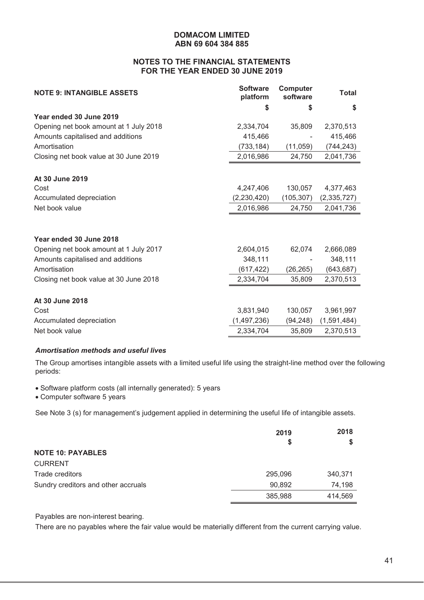# **NOTES TO THE FINANCIAL STATEMENTS FOR THE YEAR ENDED 30 JUNE 2019**

| <b>NOTE 9: INTANGIBLE ASSETS</b>       | <b>Software</b><br>platform | Computer<br>software | <b>Total</b> |
|----------------------------------------|-----------------------------|----------------------|--------------|
|                                        | \$                          | \$                   | \$           |
| Year ended 30 June 2019                |                             |                      |              |
| Opening net book amount at 1 July 2018 | 2,334,704                   | 35,809               | 2,370,513    |
| Amounts capitalised and additions      | 415,466                     |                      | 415,466      |
| Amortisation                           | (733, 184)                  | (11, 059)            | (744, 243)   |
| Closing net book value at 30 June 2019 | 2,016,986                   | 24,750               | 2,041,736    |
|                                        |                             |                      |              |
| At 30 June 2019                        |                             |                      |              |
| Cost                                   | 4,247,406                   | 130,057              | 4,377,463    |
| Accumulated depreciation               | (2,230,420)                 | (105, 307)           | (2,335,727)  |
| Net book value                         | 2,016,986                   | 24,750               | 2,041,736    |
|                                        |                             |                      |              |
| Year ended 30 June 2018                |                             |                      |              |
| Opening net book amount at 1 July 2017 | 2,604,015                   | 62,074               | 2,666,089    |
| Amounts capitalised and additions      | 348,111                     |                      | 348,111      |
| Amortisation                           | (617, 422)                  | (26, 265)            | (643, 687)   |
| Closing net book value at 30 June 2018 | 2,334,704                   | 35,809               | 2,370,513    |
|                                        |                             |                      |              |
| At 30 June 2018                        |                             |                      |              |
| Cost                                   | 3,831,940                   | 130,057              | 3,961,997    |
| Accumulated depreciation               | (1,497,236)                 | (94, 248)            | (1,591,484)  |
| Net book value                         | 2,334,704                   | 35,809               | 2,370,513    |

#### *Amortisation methods and useful lives*

The Group amortises intangible assets with a limited useful life using the straight-line method over the following periods:

• Software platform costs (all internally generated): 5 years

• Computer software 5 years

See Note 3 (s) for management's judgement applied in determining the useful life of intangible assets.

|                                     | 2019    | 2018<br>S |
|-------------------------------------|---------|-----------|
| <b>NOTE 10: PAYABLES</b>            | S       |           |
| <b>CURRENT</b>                      |         |           |
| Trade creditors                     | 295,096 | 340,371   |
| Sundry creditors and other accruals | 90,892  | 74,198    |
|                                     | 385,988 | 414,569   |

Payables are non-interest bearing.

There are no payables where the fair value would be materially different from the current carrying value.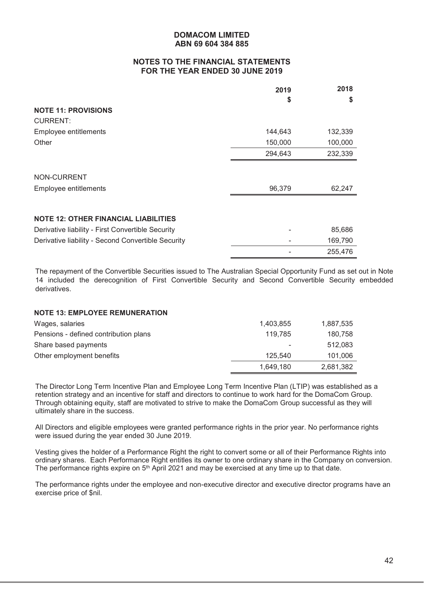# **NOTES TO THE FINANCIAL STATEMENTS FOR THE YEAR ENDED 30 JUNE 2019**

|                                                    | 2019    | 2018    |
|----------------------------------------------------|---------|---------|
| <b>NOTE 11: PROVISIONS</b>                         | \$      | \$      |
| <b>CURRENT:</b>                                    |         |         |
| Employee entitlements                              | 144,643 | 132,339 |
| Other                                              | 150,000 | 100,000 |
|                                                    | 294,643 | 232,339 |
|                                                    |         |         |
| NON-CURRENT                                        |         |         |
| Employee entitlements                              | 96,379  | 62,247  |
|                                                    |         |         |
| <b>NOTE 12: OTHER FINANCIAL LIABILITIES</b>        |         |         |
| Derivative liability - First Convertible Security  |         | 85,686  |
| Derivative liability - Second Convertible Security |         | 169,790 |
|                                                    |         | 255,476 |

The repayment of the Convertible Securities issued to The Australian Special Opportunity Fund as set out in Note 14 included the derecognition of First Convertible Security and Second Convertible Security embedded derivatives.

#### **NOTE 13: EMPLOYEE REMUNERATION**

| Wages, salaries                       | 1,403,855 | 1,887,535 |
|---------------------------------------|-----------|-----------|
| Pensions - defined contribution plans | 119.785   | 180.758   |
| Share based payments                  | ٠         | 512,083   |
| Other employment benefits             | 125.540   | 101,006   |
|                                       | 1.649.180 | 2,681,382 |

The Director Long Term Incentive Plan and Employee Long Term Incentive Plan (LTIP) was established as a retention strategy and an incentive for staff and directors to continue to work hard for the DomaCom Group. Through obtaining equity, staff are motivated to strive to make the DomaCom Group successful as they will ultimately share in the success.

All Directors and eligible employees were granted performance rights in the prior year. No performance rights were issued during the year ended 30 June 2019.

Vesting gives the holder of a Performance Right the right to convert some or all of their Performance Rights into ordinary shares. Each Performance Right entitles its owner to one ordinary share in the Company on conversion. The performance rights expire on 5<sup>th</sup> April 2021 and may be exercised at any time up to that date.

The performance rights under the employee and non-executive director and executive director programs have an exercise price of \$nil.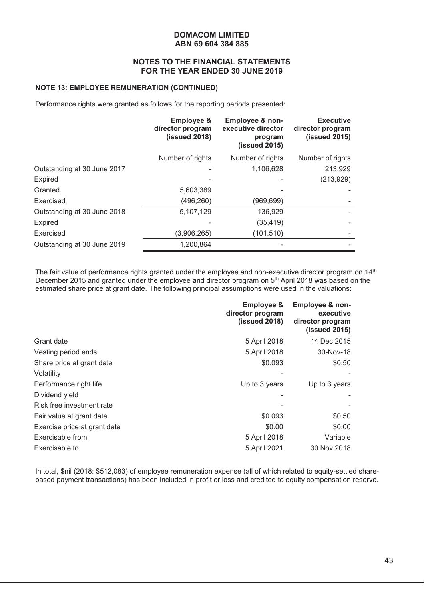#### **NOTES TO THE FINANCIAL STATEMENTS FOR THE YEAR ENDED 30 JUNE 2019**

#### **NOTE 13: EMPLOYEE REMUNERATION (CONTINUED)**

Performance rights were granted as follows for the reporting periods presented:

|                             | <b>Employee &amp;</b><br>director program<br>(issued 2018) | Employee & non-<br>executive director<br>program<br>(issued 2015) | <b>Executive</b><br>director program<br>(issued 2015) |
|-----------------------------|------------------------------------------------------------|-------------------------------------------------------------------|-------------------------------------------------------|
|                             | Number of rights                                           | Number of rights                                                  | Number of rights                                      |
| Outstanding at 30 June 2017 |                                                            | 1,106,628                                                         | 213,929                                               |
| Expired                     |                                                            |                                                                   | (213, 929)                                            |
| Granted                     | 5,603,389                                                  |                                                                   |                                                       |
| Exercised                   | (496, 260)                                                 | (969,699)                                                         |                                                       |
| Outstanding at 30 June 2018 | 5,107,129                                                  | 136,929                                                           |                                                       |
| Expired                     |                                                            | (35, 419)                                                         |                                                       |
| Exercised                   | (3,906,265)                                                | (101, 510)                                                        |                                                       |
| Outstanding at 30 June 2019 | 1,200,864                                                  |                                                                   |                                                       |

The fair value of performance rights granted under the employee and non-executive director program on 14<sup>th</sup> December 2015 and granted under the employee and director program on 5th April 2018 was based on the estimated share price at grant date. The following principal assumptions were used in the valuations:

| <b>Employee &amp;</b><br>director program<br>$(i$ ssued 2018) | <b>Employee &amp; non-</b><br>executive<br>director program<br>(issued 2015) |
|---------------------------------------------------------------|------------------------------------------------------------------------------|
| 5 April 2018                                                  | 14 Dec 2015                                                                  |
| 5 April 2018                                                  | 30-Nov-18                                                                    |
| \$0.093                                                       | \$0.50                                                                       |
|                                                               |                                                                              |
| Up to 3 years                                                 | Up to 3 years                                                                |
|                                                               |                                                                              |
|                                                               |                                                                              |
| \$0.093                                                       | \$0.50                                                                       |
| \$0.00                                                        | \$0.00                                                                       |
| 5 April 2018                                                  | Variable                                                                     |
| 5 April 2021                                                  | 30 Nov 2018                                                                  |
|                                                               |                                                                              |

In total, \$nil (2018: \$512,083) of employee remuneration expense (all of which related to equity-settled sharebased payment transactions) has been included in profit or loss and credited to equity compensation reserve.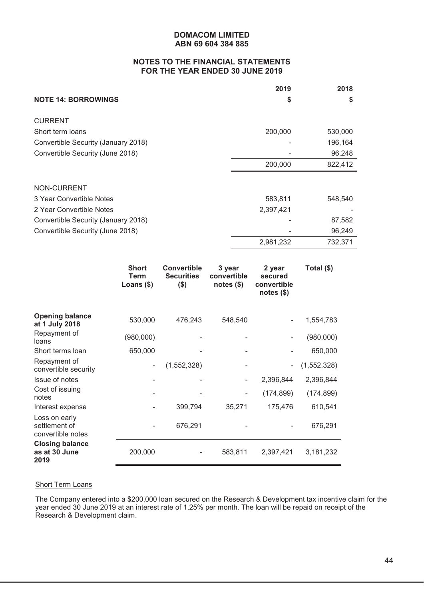# **NOTES TO THE FINANCIAL STATEMENTS FOR THE YEAR ENDED 30 JUNE 2019**

|                                     | 2019      | 2018    |
|-------------------------------------|-----------|---------|
| <b>NOTE 14: BORROWINGS</b>          | S         | S       |
| <b>CURRENT</b>                      |           |         |
| Short term loans                    | 200,000   | 530,000 |
| Convertible Security (January 2018) |           | 196,164 |
| Convertible Security (June 2018)    |           | 96,248  |
|                                     | 200,000   | 822,412 |
|                                     |           |         |
| NON-CURRENT                         |           |         |
| 3 Year Convertible Notes            | 583,811   | 548,540 |
| 2 Year Convertible Notes            | 2,397,421 |         |
| Convertible Security (January 2018) |           | 87,582  |
| Convertible Security (June 2018)    |           | 96,249  |
|                                     | 2,981,232 | 732,371 |

|                                                     | <b>Short</b><br><b>Term</b><br>Loans $($)$ | <b>Convertible</b><br><b>Securities</b><br>$($ \$) | 3 year<br>convertible<br>notes $(\$)$ | 2 year<br>secured<br>convertible<br>notes $(\$)$ | Total (\$)  |
|-----------------------------------------------------|--------------------------------------------|----------------------------------------------------|---------------------------------------|--------------------------------------------------|-------------|
| <b>Opening balance</b><br>at 1 July 2018            | 530,000                                    | 476,243                                            | 548,540                               |                                                  | 1,554,783   |
| Repayment of<br>loans                               | (980,000)                                  |                                                    |                                       |                                                  | (980,000)   |
| Short terms loan                                    | 650,000                                    |                                                    |                                       |                                                  | 650,000     |
| Repayment of<br>convertible security                |                                            | (1, 552, 328)                                      |                                       | $\overline{\phantom{a}}$                         | (1,552,328) |
| Issue of notes                                      |                                            |                                                    |                                       | 2,396,844                                        | 2,396,844   |
| Cost of issuing<br>notes                            |                                            |                                                    | -                                     | (174, 899)                                       | (174, 899)  |
| Interest expense                                    |                                            | 399,794                                            | 35,271                                | 175,476                                          | 610,541     |
| Loss on early<br>settlement of<br>convertible notes |                                            | 676,291                                            |                                       |                                                  | 676,291     |
| <b>Closing balance</b><br>as at 30 June<br>2019     | 200,000                                    |                                                    | 583,811                               | 2,397,421                                        | 3,181,232   |

#### **Short Term Loans**

The Company entered into a \$200,000 loan secured on the Research & Development tax incentive claim for the year ended 30 June 2019 at an interest rate of 1.25% per month. The loan will be repaid on receipt of the Research & Development claim.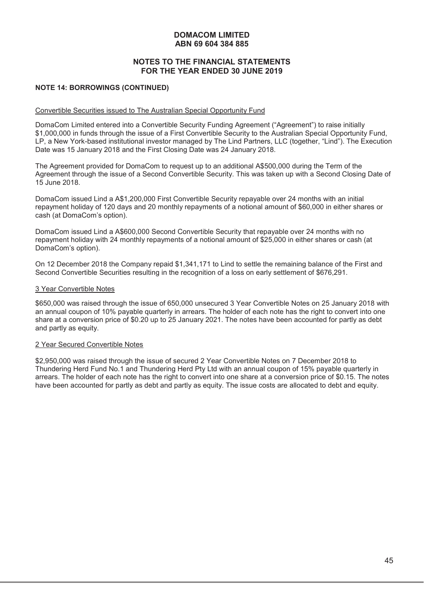# **NOTES TO THE FINANCIAL STATEMENTS FOR THE YEAR ENDED 30 JUNE 2019**

#### **NOTE 14: BORROWINGS (CONTINUED)**

#### Convertible Securities issued to The Australian Special Opportunity Fund

DomaCom Limited entered into a Convertible Security Funding Agreement ("Agreement") to raise initially \$1,000,000 in funds through the issue of a First Convertible Security to the Australian Special Opportunity Fund, LP, a New York-based institutional investor managed by The Lind Partners, LLC (together, "Lind"). The Execution Date was 15 January 2018 and the First Closing Date was 24 January 2018.

The Agreement provided for DomaCom to request up to an additional A\$500,000 during the Term of the Agreement through the issue of a Second Convertible Security. This was taken up with a Second Closing Date of 15 June 2018.

DomaCom issued Lind a A\$1,200,000 First Convertible Security repayable over 24 months with an initial repayment holiday of 120 days and 20 monthly repayments of a notional amount of \$60,000 in either shares or cash (at DomaCom's option).

DomaCom issued Lind a A\$600,000 Second Convertible Security that repayable over 24 months with no repayment holiday with 24 monthly repayments of a notional amount of \$25,000 in either shares or cash (at DomaCom's option).

On 12 December 2018 the Company repaid \$1,341,171 to Lind to settle the remaining balance of the First and Second Convertible Securities resulting in the recognition of a loss on early settlement of \$676,291.

#### 3 Year Convertible Notes

\$650,000 was raised through the issue of 650,000 unsecured 3 Year Convertible Notes on 25 January 2018 with an annual coupon of 10% payable quarterly in arrears. The holder of each note has the right to convert into one share at a conversion price of \$0.20 up to 25 January 2021. The notes have been accounted for partly as debt and partly as equity.

#### 2 Year Secured Convertible Notes

\$2,950,000 was raised through the issue of secured 2 Year Convertible Notes on 7 December 2018 to Thundering Herd Fund No.1 and Thundering Herd Pty Ltd with an annual coupon of 15% payable quarterly in arrears. The holder of each note has the right to convert into one share at a conversion price of \$0.15. The notes have been accounted for partly as debt and partly as equity. The issue costs are allocated to debt and equity.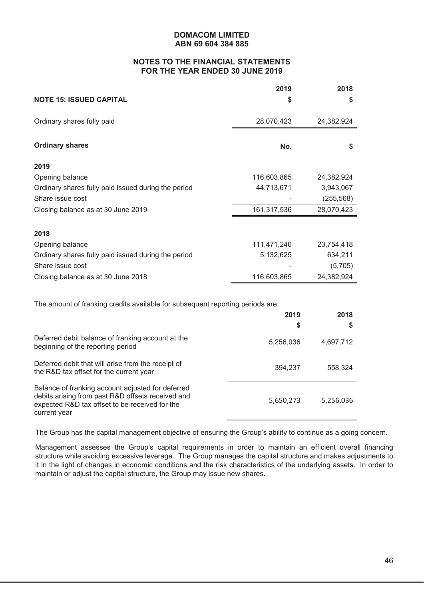# **NOTES TO THE FINANCIAL STATEMENTS FOR THE YEAR ENDED 30 JUNE 2019**

|                                                                                                                                                          | 2019        | 2018       |
|----------------------------------------------------------------------------------------------------------------------------------------------------------|-------------|------------|
| <b>NOTE 15: ISSUED CAPITAL</b>                                                                                                                           | S           | \$         |
| Ordinary shares fully paid                                                                                                                               | 28,070,423  | 24,382,924 |
| <b>Ordinary shares</b>                                                                                                                                   | No.         | \$         |
| 2019                                                                                                                                                     |             |            |
| Opening balance                                                                                                                                          | 116,603,865 | 24,382,924 |
| Ordinary shares fully paid issued during the period                                                                                                      | 44,713,671  | 3,943,067  |
| Share issue cost                                                                                                                                         |             | (255, 568) |
| Closing balance as at 30 June 2019                                                                                                                       | 161,317,536 | 28,070,423 |
| 2018                                                                                                                                                     |             |            |
| Opening balance                                                                                                                                          | 111,471,240 | 23,754,418 |
| Ordinary shares fully paid issued during the period                                                                                                      | 5,132,625   | 634,211    |
| Share issue cost                                                                                                                                         |             | (5,705)    |
| Closing balance as at 30 June 2018                                                                                                                       | 116,603,865 | 24,382,924 |
|                                                                                                                                                          |             |            |
| The amount of franking credits available for subsequent reporting periods are:                                                                           | 2019        | 2018       |
|                                                                                                                                                          | \$          | \$         |
|                                                                                                                                                          |             |            |
| Deferred debit balance of franking account at the<br>beginning of the reporting period                                                                   | 5,256,036   | 4,697,712  |
| Deferred debit that will arise from the receipt of<br>the R&D tax offset for the current year                                                            | 394,237     | 558,324    |
| Balance of franking account adjusted for deferred<br>debits arising from past R&D offsets received and<br>expected R&D tax offset to be received for the | 5,650,273   | 5,256,036  |

The Group has the capital management objective of ensuring the Group's ability to continue as a going concern.

current year

Management assesses the Group's capital requirements in order to maintain an efficient overall financing structure while avoiding excessive leverage. The Group manages the capital structure and makes adjustments to it in the light of changes in economic conditions and the risk characteristics of the underlying assets. In order to maintain or adjust the capital structure, the Group may issue new shares.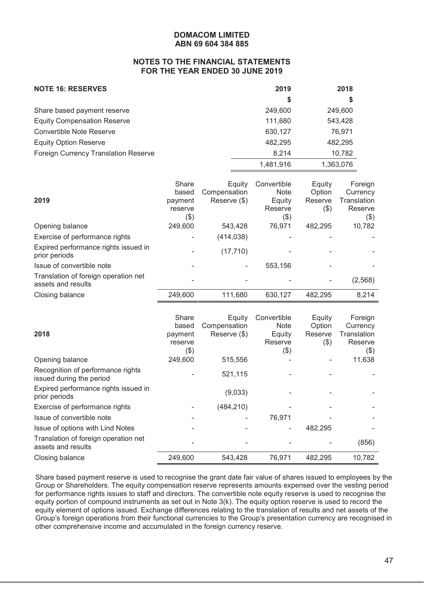#### **NOTES TO THE FINANCIAL STATEMENTS FOR THE YEAR ENDED 30 JUNE 2019**

| <b>NOTE 16: RESERVES</b>                    | 2019      | 2018      |
|---------------------------------------------|-----------|-----------|
|                                             | \$        |           |
| Share based payment reserve                 | 249,600   | 249,600   |
| <b>Equity Compensation Reserve</b>          | 111,680   | 543,428   |
| Convertible Note Reserve                    | 630,127   | 76,971    |
| <b>Equity Option Reserve</b>                | 482,295   | 482,295   |
| <b>Foreign Currency Translation Reserve</b> | 8.214     | 10,782    |
|                                             | 1.481.916 | 1,363,076 |

| 2019                                                       | Share<br>based<br>payment<br>reserve<br>$(\$)$ | Equity<br>Compensation<br>Reserve (\$) | Convertible<br><b>Note</b><br>Equity<br>Reserve<br>(\$) | Equity<br>Option<br>Reserve<br>$($ \$) | Foreign<br>Currency<br>Translation<br>Reserve<br>(\$) |
|------------------------------------------------------------|------------------------------------------------|----------------------------------------|---------------------------------------------------------|----------------------------------------|-------------------------------------------------------|
| Opening balance                                            | 249,600                                        | 543,428                                | 76,971                                                  | 482,295                                | 10,782                                                |
| Exercise of performance rights                             |                                                | (414, 038)                             |                                                         |                                        |                                                       |
| Expired performance rights issued in<br>prior periods      |                                                | (17, 710)                              |                                                         |                                        |                                                       |
| Issue of convertible note                                  |                                                | ۰                                      | 553,156                                                 |                                        |                                                       |
| Translation of foreign operation net<br>assets and results |                                                |                                        |                                                         |                                        | (2,568)                                               |
| Closing balance                                            | 249,600                                        | 111,680                                | 630.127                                                 | 482,295                                | 8,214                                                 |

| 2018                                                          | Share<br>based<br>payment<br>reserve<br>(3) | Equity<br>Compensation<br>Reserve (\$) | Convertible<br><b>Note</b><br>Equity<br>Reserve<br>(\$) | Equity<br>Option<br>Reserve<br>(3) | Foreign<br>Currency<br>Translation<br>Reserve<br>$(\$)$ |
|---------------------------------------------------------------|---------------------------------------------|----------------------------------------|---------------------------------------------------------|------------------------------------|---------------------------------------------------------|
| Opening balance                                               | 249,600                                     | 515,556                                |                                                         |                                    | 11,638                                                  |
| Recognition of performance rights<br>issued during the period |                                             | 521,115                                |                                                         |                                    |                                                         |
| Expired performance rights issued in<br>prior periods         |                                             | (9,033)                                |                                                         |                                    |                                                         |
| Exercise of performance rights                                |                                             | (484, 210)                             |                                                         |                                    |                                                         |
| Issue of convertible note                                     |                                             |                                        | 76,971                                                  |                                    |                                                         |
| Issue of options with Lind Notes                              |                                             |                                        |                                                         | 482,295                            |                                                         |
| Translation of foreign operation net<br>assets and results    |                                             |                                        |                                                         |                                    | (856)                                                   |
| Closing balance                                               | 249,600                                     | 543,428                                | 76,971                                                  | 482,295                            | 10,782                                                  |

Share based payment reserve is used to recognise the grant date fair value of shares issued to employees by the Group or Shareholders. The equity compensation reserve represents amounts expensed over the vesting period for performance rights issues to staff and directors. The convertible note equity reserve is used to recognise the equity portion of compound instruments as set out in Note 3(k). The equity option reserve is used to record the equity element of options issued. Exchange differences relating to the translation of results and net assets of the Group's foreign operations from their functional currencies to the Group's presentation currency are recognised in other comprehensive income and accumulated in the foreign currency reserve.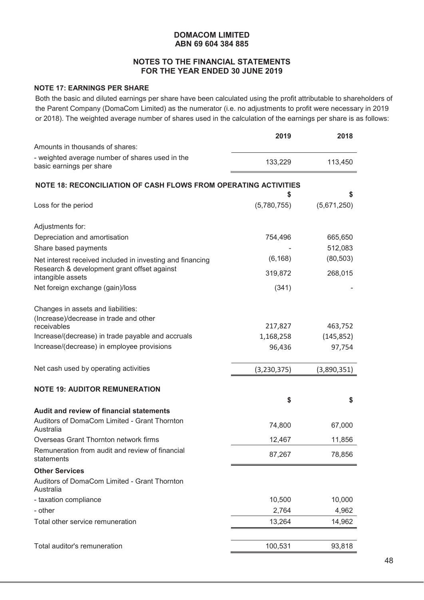# **NOTES TO THE FINANCIAL STATEMENTS FOR THE YEAR ENDED 30 JUNE 2019**

# **NOTE 17: EARNINGS PER SHARE**

Both the basic and diluted earnings per share have been calculated using the profit attributable to shareholders of the Parent Company (DomaCom Limited) as the numerator (i.e. no adjustments to profit were necessary in 2019 or 2018). The weighted average number of shares used in the calculation of the earnings per share is as follows:

|                                                                             | 2019        | 2018        |
|-----------------------------------------------------------------------------|-------------|-------------|
| Amounts in thousands of shares:                                             |             |             |
| - weighted average number of shares used in the<br>basic earnings per share | 133,229     | 113,450     |
| NOTE 18: RECONCILIATION OF CASH FLOWS FROM OPERATING ACTIVITIES             |             |             |
|                                                                             | \$          | S           |
| Loss for the period                                                         | (5,780,755) | (5,671,250) |
| Adjustments for:                                                            |             |             |
| Depreciation and amortisation                                               | 754,496     | 665,650     |
| Share based payments                                                        |             | 512,083     |
| Net interest received included in investing and financing                   | (6, 168)    | (80, 503)   |
| Research & development grant offset against<br>intangible assets            | 319,872     | 268,015     |
| Net foreign exchange (gain)/loss                                            | (341)       |             |
| Changes in assets and liabilities:                                          |             |             |
| (Increase)/decrease in trade and other                                      |             |             |
| receivables<br>Increase/(decrease) in trade payable and accruals            | 217,827     | 463,752     |
| Increase/(decrease) in employee provisions                                  | 1,168,258   | (145, 852)  |
|                                                                             | 96,436      | 97,754      |
| Net cash used by operating activities                                       | (3,230,375) | (3,890,351) |
| <b>NOTE 19: AUDITOR REMUNERATION</b>                                        |             |             |
|                                                                             | \$          | \$          |
| Audit and review of financial statements                                    |             |             |
| Auditors of DomaCom Limited - Grant Thornton<br>Australia                   | 74,800      | 67,000      |
| Overseas Grant Thornton network firms                                       | 12,467      | 11,856      |
| Remuneration from audit and review of financial<br>statements               | 87,267      | 78,856      |
| <b>Other Services</b>                                                       |             |             |
| Auditors of DomaCom Limited - Grant Thornton<br>Australia                   |             |             |
| - taxation compliance                                                       | 10,500      | 10,000      |
| - other                                                                     | 2,764       | 4,962       |
| Total other service remuneration                                            | 13,264      | 14,962      |
| Total auditor's remuneration                                                | 100,531     | 93,818      |
|                                                                             |             |             |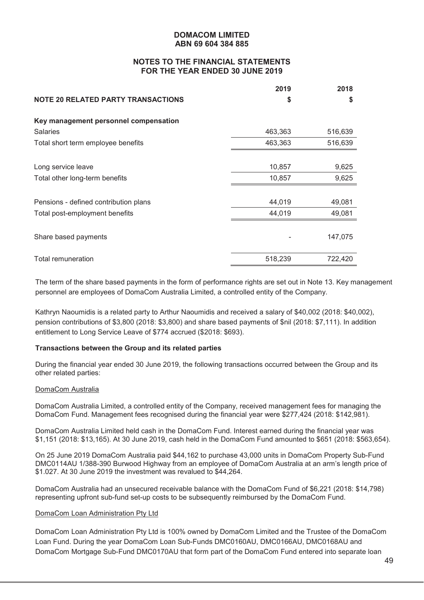# **NOTES TO THE FINANCIAL STATEMENTS FOR THE YEAR ENDED 30 JUNE 2019**

|                                           | 2019    | 2018    |
|-------------------------------------------|---------|---------|
| <b>NOTE 20 RELATED PARTY TRANSACTIONS</b> | S       | S       |
| Key management personnel compensation     |         |         |
| <b>Salaries</b>                           | 463,363 | 516,639 |
| Total short term employee benefits        | 463,363 | 516,639 |
|                                           |         |         |
| Long service leave                        | 10,857  | 9,625   |
| Total other long-term benefits            | 10,857  | 9,625   |
|                                           |         |         |
| Pensions - defined contribution plans     | 44,019  | 49,081  |
| Total post-employment benefits            | 44,019  | 49,081  |
|                                           |         |         |
| Share based payments                      |         | 147,075 |
|                                           |         |         |
| Total remuneration                        | 518,239 | 722,420 |

The term of the share based payments in the form of performance rights are set out in Note 13. Key management personnel are employees of DomaCom Australia Limited, a controlled entity of the Company.

Kathryn Naoumidis is a related party to Arthur Naoumidis and received a salary of \$40,002 (2018: \$40,002), pension contributions of \$3,800 (2018: \$3,800) and share based payments of \$nil (2018: \$7,111). In addition entitlement to Long Service Leave of \$774 accrued (\$2018: \$693).

#### **Transactions between the Group and its related parties**

During the financial year ended 30 June 2019, the following transactions occurred between the Group and its other related parties:

#### DomaCom Australia

DomaCom Australia Limited, a controlled entity of the Company, received management fees for managing the DomaCom Fund. Management fees recognised during the financial year were \$277,424 (2018: \$142,981).

DomaCom Australia Limited held cash in the DomaCom Fund. Interest earned during the financial year was \$1,151 (2018: \$13,165). At 30 June 2019, cash held in the DomaCom Fund amounted to \$651 (2018: \$563,654).

On 25 June 2019 DomaCom Australia paid \$44,162 to purchase 43,000 units in DomaCom Property Sub-Fund DMC0114AU 1/388-390 Burwood Highway from an employee of DomaCom Australia at an arm's length price of \$1.027. At 30 June 2019 the investment was revalued to \$44,264.

DomaCom Australia had an unsecured receivable balance with the DomaCom Fund of \$6,221 (2018: \$14,798) representing upfront sub-fund set-up costs to be subsequently reimbursed by the DomaCom Fund.

#### DomaCom Loan Administration Pty Ltd

DomaCom Loan Administration Pty Ltd is 100% owned by DomaCom Limited and the Trustee of the DomaCom Loan Fund. During the year DomaCom Loan Sub-Funds DMC0160AU, DMC0166AU, DMC0168AU and DomaCom Mortgage Sub-Fund DMC0170AU that form part of the DomaCom Fund entered into separate loan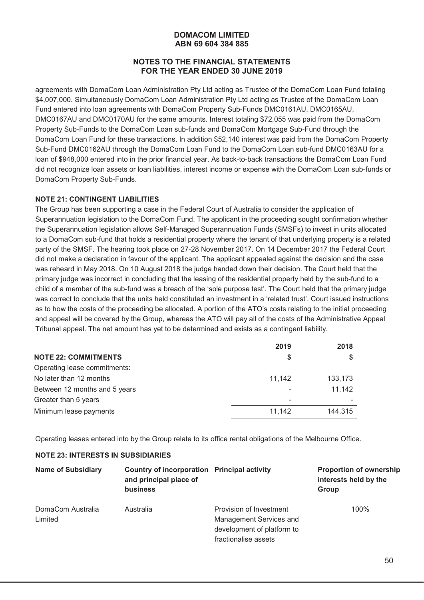# **NOTES TO THE FINANCIAL STATEMENTS FOR THE YEAR ENDED 30 JUNE 2019**

agreements with DomaCom Loan Administration Pty Ltd acting as Trustee of the DomaCom Loan Fund totaling \$4,007,000. Simultaneously DomaCom Loan Administration Pty Ltd acting as Trustee of the DomaCom Loan Fund entered into loan agreements with DomaCom Property Sub-Funds DMC0161AU, DMC0165AU, DMC0167AU and DMC0170AU for the same amounts. Interest totaling \$72,055 was paid from the DomaCom Property Sub-Funds to the DomaCom Loan sub-funds and DomaCom Mortgage Sub-Fund through the DomaCom Loan Fund for these transactions. In addition \$52,140 interest was paid from the DomaCom Property Sub-Fund DMC0162AU through the DomaCom Loan Fund to the DomaCom Loan sub-fund DMC0163AU for a loan of \$948,000 entered into in the prior financial year. As back-to-back transactions the DomaCom Loan Fund did not recognize loan assets or loan liabilities, interest income or expense with the DomaCom Loan sub-funds or DomaCom Property Sub-Funds.

#### **NOTE 21: CONTINGENT LIABILITIES**

The Group has been supporting a case in the Federal Court of Australia to consider the application of Superannuation legislation to the DomaCom Fund. The applicant in the proceeding sought confirmation whether the Superannuation legislation allows Self-Managed Superannuation Funds (SMSFs) to invest in units allocated to a DomaCom sub-fund that holds a residential property where the tenant of that underlying property is a related party of the SMSF. The hearing took place on 27-28 November 2017. On 14 December 2017 the Federal Court did not make a declaration in favour of the applicant. The applicant appealed against the decision and the case was reheard in May 2018. On 10 August 2018 the judge handed down their decision. The Court held that the primary judge was incorrect in concluding that the leasing of the residential property held by the sub-fund to a child of a member of the sub-fund was a breach of the 'sole purpose test'. The Court held that the primary judge was correct to conclude that the units held constituted an investment in a 'related trust'. Court issued instructions as to how the costs of the proceeding be allocated. A portion of the ATO's costs relating to the initial proceeding and appeal will be covered by the Group, whereas the ATO will pay all of the costs of the Administrative Appeal Tribunal appeal. The net amount has yet to be determined and exists as a contingent liability.

|                               | 2019   | 2018    |
|-------------------------------|--------|---------|
| <b>NOTE 22: COMMITMENTS</b>   | S      |         |
| Operating lease commitments:  |        |         |
| No later than 12 months       | 11.142 | 133,173 |
| Between 12 months and 5 years |        | 11,142  |
| Greater than 5 years          | -      |         |
| Minimum lease payments        | 11,142 | 144.315 |

Operating leases entered into by the Group relate to its office rental obligations of the Melbourne Office.

#### **NOTE 23: INTERESTS IN SUBSIDIARIES**

| <b>Name of Subsidiary</b>    | Country of incorporation Principal activity<br>and principal place of<br><b>business</b> |                                                    | <b>Proportion of ownership</b><br>interests held by the<br>Group |
|------------------------------|------------------------------------------------------------------------------------------|----------------------------------------------------|------------------------------------------------------------------|
| DomaCom Australia<br>Limited | Australia                                                                                | Provision of Investment<br>Management Services and | 100%                                                             |
|                              |                                                                                          | development of platform to<br>fractionalise assets |                                                                  |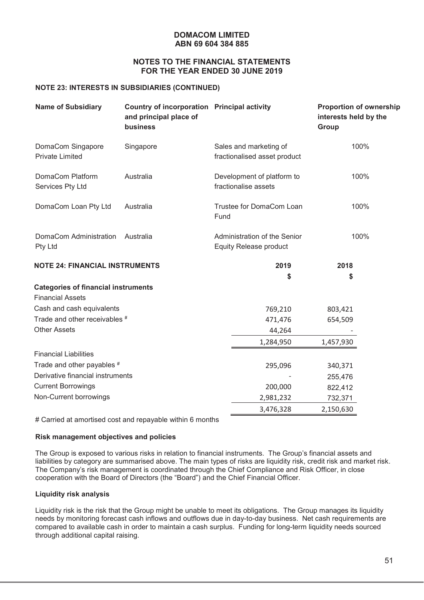#### **NOTES TO THE FINANCIAL STATEMENTS FOR THE YEAR ENDED 30 JUNE 2019**

#### **NOTE 23: INTERESTS IN SUBSIDIARIES (CONTINUED)**

| <b>Name of Subsidiary</b>                   | Country of incorporation Principal activity<br>and principal place of<br><b>business</b> |                                                               | <b>Proportion of ownership</b><br>interests held by the<br>Group |
|---------------------------------------------|------------------------------------------------------------------------------------------|---------------------------------------------------------------|------------------------------------------------------------------|
| DomaCom Singapore<br><b>Private Limited</b> | Singapore                                                                                | Sales and marketing of<br>fractionalised asset product        | 100%                                                             |
| DomaCom Platform<br>Services Pty Ltd        | Australia                                                                                | Development of platform to<br>fractionalise assets            | 100%                                                             |
| DomaCom Loan Pty Ltd                        | Australia                                                                                | Trustee for DomaCom Loan<br>Fund                              | 100%                                                             |
| DomaCom Administration<br>Pty Ltd           | Australia                                                                                | Administration of the Senior<br><b>Equity Release product</b> | 100%                                                             |
| NOTE 24: FINANCIAL INSTRUMENTS              |                                                                                          | 2019                                                          | 2018                                                             |
|                                             |                                                                                          | \$                                                            | \$                                                               |
| <b>Categories of financial instruments</b>  |                                                                                          |                                                               |                                                                  |
| <b>Financial Assets</b>                     |                                                                                          |                                                               |                                                                  |
| Cash and cash equivalents                   |                                                                                          | 769,210                                                       | 803,421                                                          |
| Trade and other receivables #               |                                                                                          | 471,476                                                       | 654,509                                                          |
| <b>Other Assets</b>                         |                                                                                          | 44,264                                                        |                                                                  |
|                                             |                                                                                          | 1,284,950                                                     | 1,457,930                                                        |
| <b>Financial Liabilities</b>                |                                                                                          |                                                               |                                                                  |
| Trade and other payables #                  |                                                                                          | 295,096                                                       | 340,371                                                          |
| Derivative financial instruments            |                                                                                          |                                                               | 255,476                                                          |
| <b>Current Borrowings</b>                   |                                                                                          | 200,000                                                       | 822,412                                                          |
| Non-Current borrowings                      |                                                                                          | 2,981,232                                                     | 732,371                                                          |
|                                             |                                                                                          | 3,476,328                                                     | 2,150,630                                                        |

# Carried at amortised cost and repayable within 6 months

#### **Risk management objectives and policies**

The Group is exposed to various risks in relation to financial instruments. The Group's financial assets and liabilities by category are summarised above. The main types of risks are liquidity risk, credit risk and market risk. The Company's risk management is coordinated through the Chief Compliance and Risk Officer, in close cooperation with the Board of Directors (the "Board") and the Chief Financial Officer.

#### **Liquidity risk analysis**

Liquidity risk is the risk that the Group might be unable to meet its obligations. The Group manages its liquidity needs by monitoring forecast cash inflows and outflows due in day-to-day business. Net cash requirements are compared to available cash in order to maintain a cash surplus. Funding for long-term liquidity needs sourced through additional capital raising.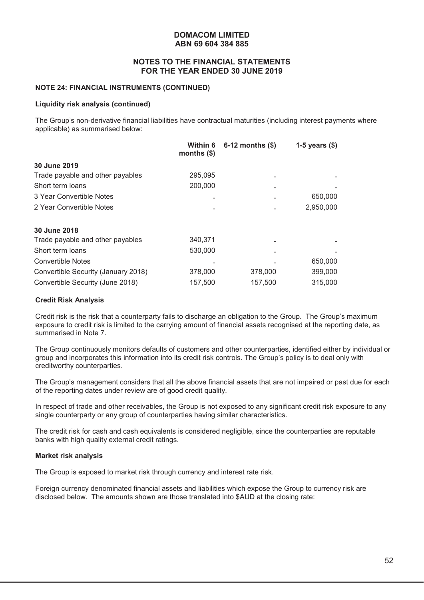#### **NOTES TO THE FINANCIAL STATEMENTS FOR THE YEAR ENDED 30 JUNE 2019**

#### **NOTE 24: FINANCIAL INSTRUMENTS (CONTINUED)**

#### **Liquidity risk analysis (continued)**

The Group's non-derivative financial liabilities have contractual maturities (including interest payments where applicable) as summarised below:

|                                     | Within 6<br>months $(\$)$ | $6-12$ months $(\$)$ | 1-5 years $(\$)$ |
|-------------------------------------|---------------------------|----------------------|------------------|
| 30 June 2019                        |                           |                      |                  |
| Trade payable and other payables    | 295,095                   |                      |                  |
| Short term loans                    | 200,000                   |                      |                  |
| 3 Year Convertible Notes            |                           |                      | 650,000          |
| 2 Year Convertible Notes            |                           |                      | 2,950,000        |
| 30 June 2018                        |                           |                      |                  |
| Trade payable and other payables    | 340,371                   |                      |                  |
| Short term loans                    | 530,000                   |                      |                  |
| <b>Convertible Notes</b>            |                           |                      | 650,000          |
| Convertible Security (January 2018) | 378,000                   | 378,000              | 399,000          |
| Convertible Security (June 2018)    | 157,500                   | 157,500              | 315,000          |

#### **Credit Risk Analysis**

Credit risk is the risk that a counterparty fails to discharge an obligation to the Group. The Group's maximum exposure to credit risk is limited to the carrying amount of financial assets recognised at the reporting date, as summarised in Note 7.

The Group continuously monitors defaults of customers and other counterparties, identified either by individual or group and incorporates this information into its credit risk controls. The Group's policy is to deal only with creditworthy counterparties.

The Group's management considers that all the above financial assets that are not impaired or past due for each of the reporting dates under review are of good credit quality.

In respect of trade and other receivables, the Group is not exposed to any significant credit risk exposure to any single counterparty or any group of counterparties having similar characteristics.

The credit risk for cash and cash equivalents is considered negligible, since the counterparties are reputable banks with high quality external credit ratings.

#### **Market risk analysis**

The Group is exposed to market risk through currency and interest rate risk.

Foreign currency denominated financial assets and liabilities which expose the Group to currency risk are disclosed below. The amounts shown are those translated into \$AUD at the closing rate: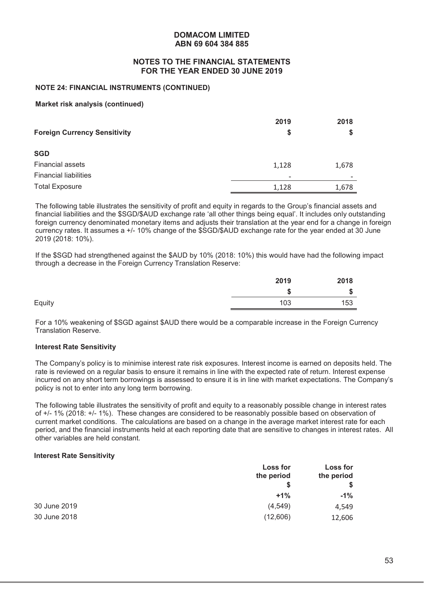#### **NOTES TO THE FINANCIAL STATEMENTS FOR THE YEAR ENDED 30 JUNE 2019**

#### **NOTE 24: FINANCIAL INSTRUMENTS (CONTINUED)**

#### **Market risk analysis (continued)**

| <b>Foreign Currency Sensitivity</b> | 2019<br>S | 2018  |
|-------------------------------------|-----------|-------|
| <b>SGD</b>                          |           |       |
| <b>Financial assets</b>             | 1,128     | 1,678 |
| <b>Financial liabilities</b>        |           |       |
| <b>Total Exposure</b>               | 1,128     | 1,678 |

The following table illustrates the sensitivity of profit and equity in regards to the Group's financial assets and financial liabilities and the \$SGD/\$AUD exchange rate 'all other things being equal'. It includes only outstanding foreign currency denominated monetary items and adjusts their translation at the year end for a change in foreign currency rates. It assumes a +/- 10% change of the \$SGD/\$AUD exchange rate for the year ended at 30 June 2019 (2018: 10%).

If the \$SGD had strengthened against the \$AUD by 10% (2018: 10%) this would have had the following impact through a decrease in the Foreign Currency Translation Reserve:

|        | 2019 | 2018 |
|--------|------|------|
|        | จ    | \$   |
| Equity | 103  | 153  |

For a 10% weakening of \$SGD against \$AUD there would be a comparable increase in the Foreign Currency Translation Reserve.

#### **Interest Rate Sensitivity**

The Company's policy is to minimise interest rate risk exposures. Interest income is earned on deposits held. The rate is reviewed on a regular basis to ensure it remains in line with the expected rate of return. Interest expense incurred on any short term borrowings is assessed to ensure it is in line with market expectations. The Company's policy is not to enter into any long term borrowing.

The following table illustrates the sensitivity of profit and equity to a reasonably possible change in interest rates of +/- 1% (2018: +/- 1%). These changes are considered to be reasonably possible based on observation of current market conditions. The calculations are based on a change in the average market interest rate for each period, and the financial instruments held at each reporting date that are sensitive to changes in interest rates. All other variables are held constant.

#### **Interest Rate Sensitivity**

|              | Loss for<br>the period | <b>Loss for</b><br>the period |
|--------------|------------------------|-------------------------------|
|              | S                      |                               |
|              | $+1%$                  | $-1%$                         |
| 30 June 2019 | (4, 549)               | 4,549                         |
| 30 June 2018 | (12,606)               | 12,606                        |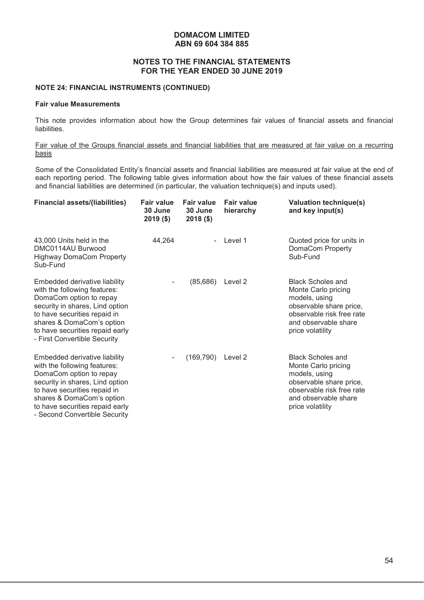#### **NOTES TO THE FINANCIAL STATEMENTS FOR THE YEAR ENDED 30 JUNE 2019**

#### **NOTE 24: FINANCIAL INSTRUMENTS (CONTINUED)**

#### **Fair value Measurements**

This note provides information about how the Group determines fair values of financial assets and financial liabilities.

#### Fair value of the Groups financial assets and financial liabilities that are measured at fair value on a recurring basis

Some of the Consolidated Entity's financial assets and financial liabilities are measured at fair value at the end of each reporting period. The following table gives information about how the fair values of these financial assets and financial liabilities are determined (in particular, the valuation technique(s) and inputs used).

| <b>Financial assets/(liabilities)</b>                                                                                                                                                                                                                        | <b>Fair value</b><br>30 June<br>$2019($ \$) | <b>Fair value</b><br>30 June<br>$2018($ \$) | <b>Fair value</b><br>hierarchy | <b>Valuation technique(s)</b><br>and key input(s)                                                                                                                    |
|--------------------------------------------------------------------------------------------------------------------------------------------------------------------------------------------------------------------------------------------------------------|---------------------------------------------|---------------------------------------------|--------------------------------|----------------------------------------------------------------------------------------------------------------------------------------------------------------------|
| 43,000 Units held in the<br>DMC0114AU Burwood<br><b>Highway DomaCom Property</b><br>Sub-Fund                                                                                                                                                                 | 44,264                                      |                                             | Level 1                        | Quoted price for units in<br>DomaCom Property<br>Sub-Fund                                                                                                            |
| Embedded derivative liability<br>with the following features:<br>DomaCom option to repay<br>security in shares, Lind option<br>to have securities repaid in<br>shares & DomaCom's option<br>to have securities repaid early<br>- First Convertible Security  |                                             | (85, 686)                                   | Level 2                        | <b>Black Scholes and</b><br>Monte Carlo pricing<br>models, using<br>observable share price,<br>observable risk free rate<br>and observable share<br>price volatility |
| Embedded derivative liability<br>with the following features:<br>DomaCom option to repay<br>security in shares, Lind option<br>to have securities repaid in<br>shares & DomaCom's option<br>to have securities repaid early<br>- Second Convertible Security |                                             | (169, 790)                                  | Level 2                        | <b>Black Scholes and</b><br>Monte Carlo pricing<br>models, using<br>observable share price,<br>observable risk free rate<br>and observable share<br>price volatility |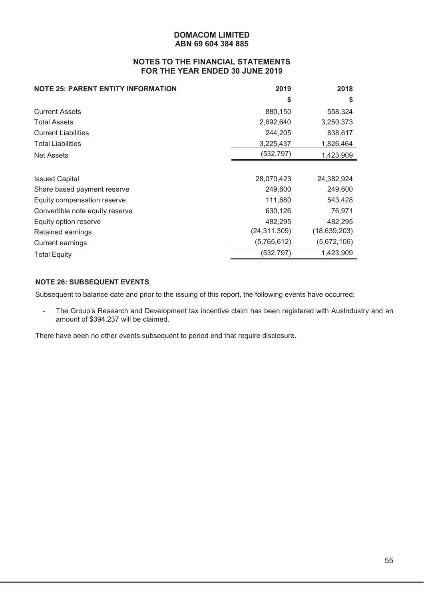# **NOTES TO THE FINANCIAL STATEMENTS FOR THE YEAR ENDED 30 JUNE 2019**

| <b>NOTE 25: PARENT ENTITY INFORMATION</b> | 2019           | 2018           |
|-------------------------------------------|----------------|----------------|
|                                           | S              | S              |
| <b>Current Assets</b>                     | 880,150        | 558,324        |
| <b>Total Assets</b>                       | 2,692,640      | 3,250,373      |
| <b>Current Liabilities</b>                | 244,205        | 838,617        |
| <b>Total Liabilities</b>                  | 3,225,437      | 1,826,464      |
| Net Assets                                | (532, 797)     | 1,423,909      |
|                                           |                |                |
| <b>Issued Capital</b>                     | 28,070,423     | 24,382,924     |
| Share based payment reserve               | 249,600        | 249,600        |
| Equity compensation reserve               | 111,680        | 543,428        |
| Convertible note equity reserve           | 630,126        | 76,971         |
| Equity option reserve                     | 482,295        | 482,295        |
| Retained earnings                         | (24, 311, 309) | (18, 639, 203) |
| <b>Current earnings</b>                   | (5,765,612)    | (5,672,106)    |
| <b>Total Equity</b>                       | (532, 797)     | 1,423,909      |

# **NOTE 26: SUBSEQUENT EVENTS**

Subsequent to balance date and prior to the issuing of this report, the following events have occurred:

- The Group's Research and Development tax incentive claim has been registered with AusIndustry and an amount of \$394,237 will be claimed.

There have been no other events subsequent to period end that require disclosure.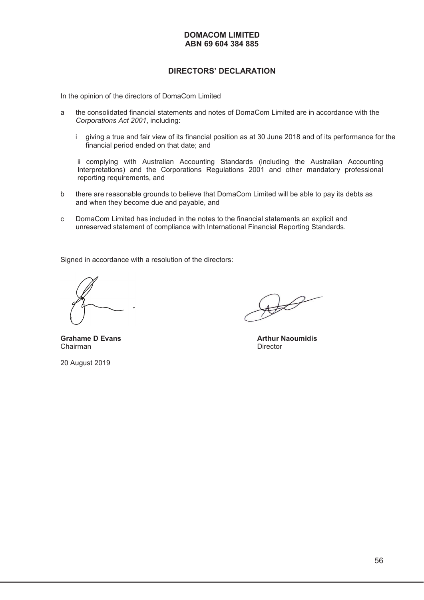# **DIRECTORS' DECLARATION**

In the opinion of the directors of DomaCom Limited

- a the consolidated financial statements and notes of DomaCom Limited are in accordance with the *Corporations Act 2001*, including:
	- i giving a true and fair view of its financial position as at 30 June 2018 and of its performance for the financial period ended on that date; and

ii complying with Australian Accounting Standards (including the Australian Accounting Interpretations) and the Corporations Regulations 2001 and other mandatory professional reporting requirements, and

- b there are reasonable grounds to believe that DomaCom Limited will be able to pay its debts as and when they become due and payable, and
- c DomaCom Limited has included in the notes to the financial statements an explicit and unreserved statement of compliance with International Financial Reporting Standards.

Signed in accordance with a resolution of the directors:

**Grahame D Evans Arthur Naoumidis Arthur Naoumidis**<br>
Chairman **Arthur Naoumidis** Chairman

20 August 2019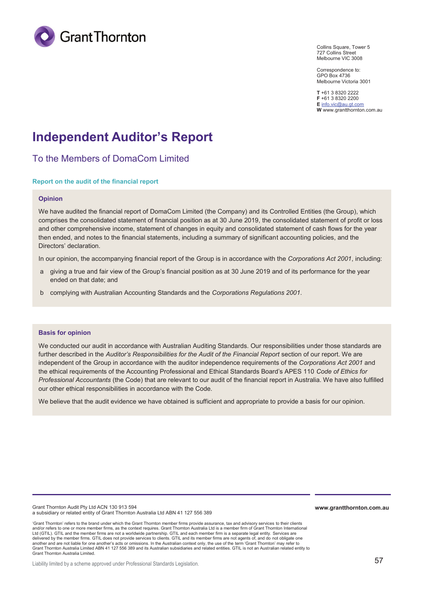

Collins Square, Tower 5 727 Collins Street Melbourne VIC 3008

Correspondence to: GPO Box 4736 Melbourne Victoria 3001

**T** +61 3 8320 2222 **F** +61 3 8320 2200 **E** info.vic@au.gt.com **W** www.grantthornton.com.au

# **Independent Auditor's Report**

To the Members of DomaCom Limited

#### **Report on the audit of the financial report**

#### **Opinion**

We have audited the financial report of DomaCom Limited (the Company) and its Controlled Entities (the Group), which comprises the consolidated statement of financial position as at 30 June 2019, the consolidated statement of profit or loss and other comprehensive income, statement of changes in equity and consolidated statement of cash flows for the year then ended, and notes to the financial statements, including a summary of significant accounting policies, and the Directors' declaration.

In our opinion, the accompanying financial report of the Group is in accordance with the *Corporations Act 2001*, including:

- a giving a true and fair view of the Group's financial position as at 30 June 2019 and of its performance for the year ended on that date; and
- b complying with Australian Accounting Standards and the *Corporations Regulations 2001*.

#### **Basis for opinion**

We conducted our audit in accordance with Australian Auditing Standards. Our responsibilities under those standards are further described in the *Auditor's Responsibilities for the Audit of the Financial Report* section of our report. We are independent of the Group in accordance with the auditor independence requirements of the *Corporations Act 2001* and the ethical requirements of the Accounting Professional and Ethical Standards Board's APES 110 *Code of Ethics for Professional Accountants* (the Code) that are relevant to our audit of the financial report in Australia. We have also fulfilled our other ethical responsibilities in accordance with the Code.

We believe that the audit evidence we have obtained is sufficient and appropriate to provide a basis for our opinion.

Grant Thornton Audit Pty Ltd ACN 130 913 594 a subsidiary or related entity of Grant Thornton Australia Ltd ABN 41 127 556 389

'Grant Thornton' refers to the brand under which the Grant Thornton member firms provide assurance, tax and advisory services to their clients and/or refers to one or more member firms, as the context requires. Grant Thornton Australia Ltd is a member firm of Grant Thornton International Ltd (GTIL). GTIL and the member firms are not a worldwide partnership. GTIL and each member firm is a separate legal entity. Services are<br>delivered by the member firms. GTIL does not provide services to clients. GTIL and i another and are not liable for one another's acts or omissions. In the Australian context only, the use of the term 'Grant Thornton' may refer to<br>Grant Thornton Australia Limited ABN 41 127 556 389 and its Australian subsi Grant Thornton Australia Limited.

Liability limited by a scheme approved under Professional Standards Legislation.

**www.grantthornton.com.au**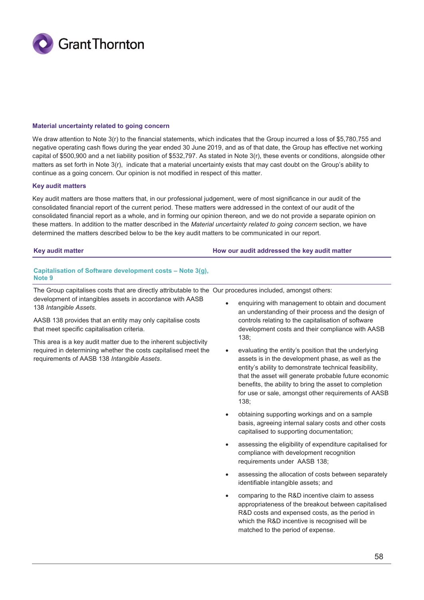

#### **Material uncertainty related to going concern**

We draw attention to Note 3(r) to the financial statements, which indicates that the Group incurred a loss of \$5,780,755 and negative operating cash flows during the year ended 30 June 2019, and as of that date, the Group has effective net working capital of \$500,900 and a net liability position of \$532,797. As stated in Note 3(r), these events or conditions, alongside other matters as set forth in Note 3(r), indicate that a material uncertainty exists that may cast doubt on the Group's ability to continue as a going concern. Our opinion is not modified in respect of this matter.

#### **Key audit matters**

Key audit matters are those matters that, in our professional judgement, were of most significance in our audit of the consolidated financial report of the current period. These matters were addressed in the context of our audit of the consolidated financial report as a whole, and in forming our opinion thereon, and we do not provide a separate opinion on these matters. In addition to the matter described in the *Material uncertainty related to going concern* section, we have determined the matters described below to be the key audit matters to be communicated in our report.

#### **Key audit matter How our audit addressed the key audit matter**

#### **Capitalisation of Software development costs – Note 3(g), Note 9**

The Group capitalises costs that are directly attributable to the Our procedures included, amongst others: development of intangibles assets in accordance with AASB 138 *Intangible Assets*.

AASB 138 provides that an entity may only capitalise costs that meet specific capitalisation criteria.

This area is a key audit matter due to the inherent subjectivity required in determining whether the costs capitalised meet the requirements of AASB 138 *Intangible Assets*.

- enquiring with management to obtain and document an understanding of their process and the design of controls relating to the capitalisation of software development costs and their compliance with AASB 138;
- evaluating the entity's position that the underlying assets is in the development phase, as well as the entity's ability to demonstrate technical feasibility, that the asset will generate probable future economic benefits, the ability to bring the asset to completion for use or sale, amongst other requirements of AASB 138;
- obtaining supporting workings and on a sample basis, agreeing internal salary costs and other costs capitalised to supporting documentation;
- assessing the eligibility of expenditure capitalised for compliance with development recognition requirements under AASB 138;
- assessing the allocation of costs between separately identifiable intangible assets; and
- comparing to the R&D incentive claim to assess appropriateness of the breakout between capitalised R&D costs and expensed costs, as the period in which the R&D incentive is recognised will be matched to the period of expense.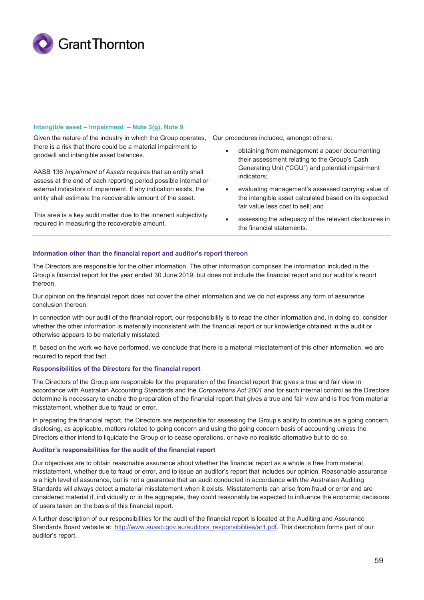

#### **Intangible asset – Impairment – Note 3(g), Note 9**

Given the nature of the industry in which the Group operates, there is a risk that there could be a material impairment to goodwill and intangible asset balances.

AASB 136 *Impairment of Assets* requires that an entity shall assess at the end of each reporting period possible internal or external indicators of impairment. If any indication exists, the entity shall estimate the recoverable amount of the asset.

This area is a key audit matter due to the inherent subjectivity required in measuring the recoverable amount.

Our procedures included, amongst others:

- obtaining from management a paper documenting their assessment relating to the Group's Cash Generating Unit ("CGU") and potential impairment indicators;
- evaluating management's assessed carrying value of the intangible asset calculated based on its expected fair value less cost to sell; and
- assessing the adequacy of the relevant disclosures in the financial statements.

#### **Information other than the financial report and auditor's report thereon**

The Directors are responsible for the other information. The other information comprises the information included in the Group's financial report for the year ended 30 June 2019, but does not include the financial report and our auditor's report thereon.

Our opinion on the financial report does not cover the other information and we do not express any form of assurance conclusion thereon.

In connection with our audit of the financial report, our responsibility is to read the other information and, in doing so, consider whether the other information is materially inconsistent with the financial report or our knowledge obtained in the audit or otherwise appears to be materially misstated.

If, based on the work we have performed, we conclude that there is a material misstatement of this other information, we are required to report that fact.

#### **Responsibilities of the Directors for the financial report**

The Directors of the Group are responsible for the preparation of the financial report that gives a true and fair view in accordance with Australian Accounting Standards and the *Corporations Act 2001* and for such internal control as the Directors determine is necessary to enable the preparation of the financial report that gives a true and fair view and is free from material misstatement, whether due to fraud or error.

In preparing the financial report, the Directors are responsible for assessing the Group's ability to continue as a going concern, disclosing, as applicable, matters related to going concern and using the going concern basis of accounting unless the Directors either intend to liquidate the Group or to cease operations, or have no realistic alternative but to do so.

#### **Auditor's responsibilities for the audit of the financial report**

Our objectives are to obtain reasonable assurance about whether the financial report as a whole is free from material misstatement, whether due to fraud or error, and to issue an auditor's report that includes our opinion. Reasonable assurance is a high level of assurance, but is not a guarantee that an audit conducted in accordance with the Australian Auditing Standards will always detect a material misstatement when it exists. Misstatements can arise from fraud or error and are considered material if, individually or in the aggregate, they could reasonably be expected to influence the economic decisions of users taken on the basis of this financial report.

A further description of our responsibilities for the audit of the financial report is located at the Auditing and Assurance Standards Board website at: http://www.auasb.gov.au/auditors\_responsibilities/ar1.pdf. This description forms part of our auditor's report.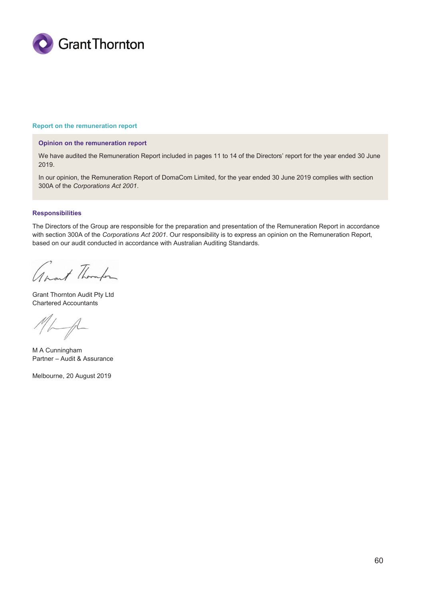

#### **Report on the remuneration report**

#### **Opinion on the remuneration report**

We have audited the Remuneration Report included in pages 11 to 14 of the Directors' report for the year ended 30 June 2019.

In our opinion, the Remuneration Report of DomaCom Limited, for the year ended 30 June 2019 complies with section 300A of the *Corporations Act 2001*.

#### **Responsibilities**

The Directors of the Group are responsible for the preparation and presentation of the Remuneration Report in accordance with section 300A of the *Corporations Act 2001*. Our responsibility is to express an opinion on the Remuneration Report, based on our audit conducted in accordance with Australian Auditing Standards.

anant Thomps

Grant Thornton Audit Pty Ltd Chartered Accountants

 $\overline{\mathcal{A}}$ 

M A Cunningham Partner – Audit & Assurance

Melbourne, 20 August 2019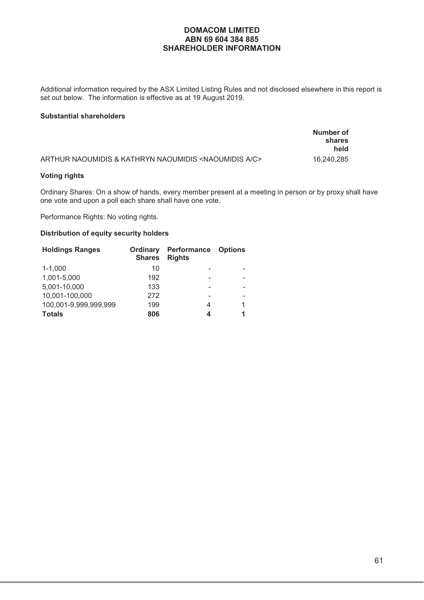# **DOMACOM LIMITED ABN 69 604 384 885 SHAREHOLDER INFORMATION**

Additional information required by the ASX Limited Listing Rules and not disclosed elsewhere in this report is set out below. The information is effective as at 19 August 2019.

#### **Substantial shareholders**

|                                                                        | Number of<br>shares<br>held |
|------------------------------------------------------------------------|-----------------------------|
| ARTHUR NAOUMIDIS & KATHRYN NAOUMIDIS <naoumidis a="" c=""></naoumidis> | 16.240.285                  |

# **Voting rights**

Ordinary Shares: On a show of hands, every member present at a meeting in person or by proxy shall have one vote and upon a poll each share shall have one vote.

Performance Rights: No voting rights.

# **Distribution of equity security holders**

| <b>Holdings Ranges</b> | Ordinary<br><b>Shares</b> | Performance<br><b>Rights</b> | <b>Options</b> |
|------------------------|---------------------------|------------------------------|----------------|
| $1 - 1,000$            | 10                        |                              |                |
| 1,001-5,000            | 192                       |                              |                |
| 5,001-10,000           | 133                       |                              |                |
| 10,001-100,000         | 272                       |                              |                |
| 100,001-9,999,999,999  | 199                       | 4                            | 1              |
| <b>Totals</b>          | 806                       | 4                            | 1              |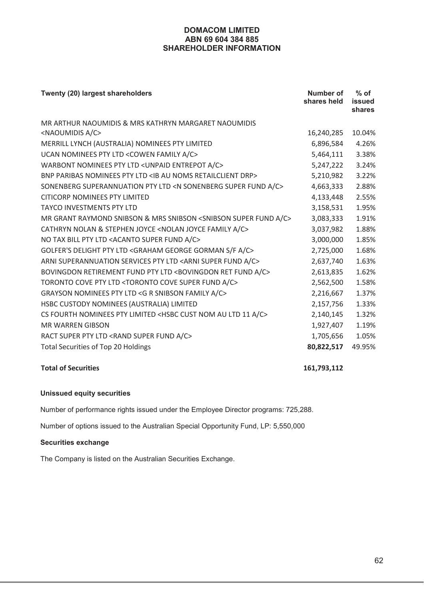# **DOMACOM LIMITED ABN 69 604 384 885 SHAREHOLDER INFORMATION**

| Twenty (20) largest shareholders                                                         | Number of<br>shares held | $%$ of<br>issued<br>shares |
|------------------------------------------------------------------------------------------|--------------------------|----------------------------|
| MR ARTHUR NAOUMIDIS & MRS KATHRYN MARGARET NAOUMIDIS                                     |                          |                            |
| <naoumidis a="" c=""></naoumidis>                                                        | 16,240,285               | 10.04%                     |
| MERRILL LYNCH (AUSTRALIA) NOMINEES PTY LIMITED                                           | 6,896,584                | 4.26%                      |
| UCAN NOMINEES PTY LTD <cowen a="" c="" family=""></cowen>                                | 5,464,111                | 3.38%                      |
| WARBONT NOMINEES PTY LTD < UNPAID ENTREPOT A/C>                                          | 5,247,222                | 3.24%                      |
| BNP PARIBAS NOMINEES PTY LTD <ib au="" drp="" noms="" retailclient=""></ib>              | 5,210,982                | 3.22%                      |
| SONENBERG SUPERANNUATION PTY LTD <n a="" c="" fund="" sonenberg="" super=""></n>         | 4,663,333                | 2.88%                      |
| <b>CITICORP NOMINEES PTY LIMITED</b>                                                     | 4,133,448                | 2.55%                      |
| <b>TAYCO INVESTMENTS PTY LTD</b>                                                         | 3,158,531                | 1.95%                      |
| MR GRANT RAYMOND SNIBSON & MRS SNIBSON <snibson a="" c="" fund="" super=""></snibson>    | 3,083,333                | 1.91%                      |
| CATHRYN NOLAN & STEPHEN JOYCE <nolan a="" c="" family="" joyce=""></nolan>               | 3,037,982                | 1.88%                      |
| NO TAX BILL PTY LTD <acanto a="" c="" fund="" super=""></acanto>                         | 3,000,000                | 1.85%                      |
| GOLFER'S DELIGHT PTY LTD <graham a="" c="" f="" george="" gorman="" s=""></graham>       | 2,725,000                | 1.68%                      |
| ARNI SUPERANNUATION SERVICES PTY LTD <arni a="" c="" fund="" super=""></arni>            | 2,637,740                | 1.63%                      |
| BOVINGDON RETIREMENT FUND PTY LTD <bovingdon a="" c="" fund="" ret=""></bovingdon>       | 2,613,835                | 1.62%                      |
| TORONTO COVE PTY LTD <toronto a="" c="" cove="" fund="" super=""></toronto>              | 2,562,500                | 1.58%                      |
| GRAYSON NOMINEES PTY LTD <g a="" c="" family="" r="" snibson=""></g>                     | 2,216,667                | 1.37%                      |
| HSBC CUSTODY NOMINEES (AUSTRALIA) LIMITED                                                | 2,157,756                | 1.33%                      |
| CS FOURTH NOMINEES PTY LIMITED <hsbc 11="" a="" au="" c="" cust="" ltd="" nom=""></hsbc> | 2,140,145                | 1.32%                      |
| <b>MR WARREN GIBSON</b>                                                                  | 1,927,407                | 1.19%                      |
| RACT SUPER PTY LTD <rand a="" c="" fund="" super=""></rand>                              | 1,705,656                | 1.05%                      |
| <b>Total Securities of Top 20 Holdings</b>                                               | 80,822,517               | 49.95%                     |

# **Total of Securities 161,793,112**

# **Unissued equity securities**

Number of performance rights issued under the Employee Director programs: 725,288.

Number of options issued to the Australian Special Opportunity Fund, LP: 5,550,000

# **Securities exchange**

The Company is listed on the Australian Securities Exchange.